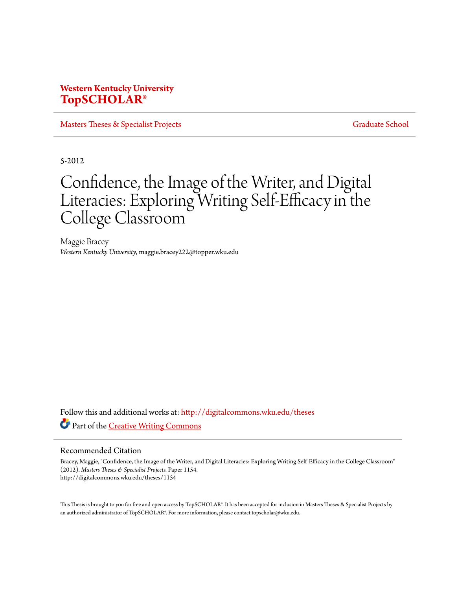## **Western Kentucky University [TopSCHOLAR®](http://digitalcommons.wku.edu?utm_source=digitalcommons.wku.edu%2Ftheses%2F1154&utm_medium=PDF&utm_campaign=PDFCoverPages)**

[Masters Theses & Specialist Projects](http://digitalcommons.wku.edu/theses?utm_source=digitalcommons.wku.edu%2Ftheses%2F1154&utm_medium=PDF&utm_campaign=PDFCoverPages) [Graduate School](http://digitalcommons.wku.edu/Graduate?utm_source=digitalcommons.wku.edu%2Ftheses%2F1154&utm_medium=PDF&utm_campaign=PDFCoverPages)

5-2012

# Confidence, the Image of the Writer, and Digital Literacies: Exploring Writing Self-Efficacy in the College Classroom

Maggie Bracey *Western Kentucky University*, maggie.bracey222@topper.wku.edu

Follow this and additional works at: [http://digitalcommons.wku.edu/theses](http://digitalcommons.wku.edu/theses?utm_source=digitalcommons.wku.edu%2Ftheses%2F1154&utm_medium=PDF&utm_campaign=PDFCoverPages) Part of the [Creative Writing Commons](http://network.bepress.com/hgg/discipline/574?utm_source=digitalcommons.wku.edu%2Ftheses%2F1154&utm_medium=PDF&utm_campaign=PDFCoverPages)

#### Recommended Citation

Bracey, Maggie, "Confidence, the Image of the Writer, and Digital Literacies: Exploring Writing Self-Efficacy in the College Classroom" (2012). *Masters Theses & Specialist Projects.* Paper 1154. http://digitalcommons.wku.edu/theses/1154

This Thesis is brought to you for free and open access by TopSCHOLAR®. It has been accepted for inclusion in Masters Theses & Specialist Projects by an authorized administrator of TopSCHOLAR®. For more information, please contact topscholar@wku.edu.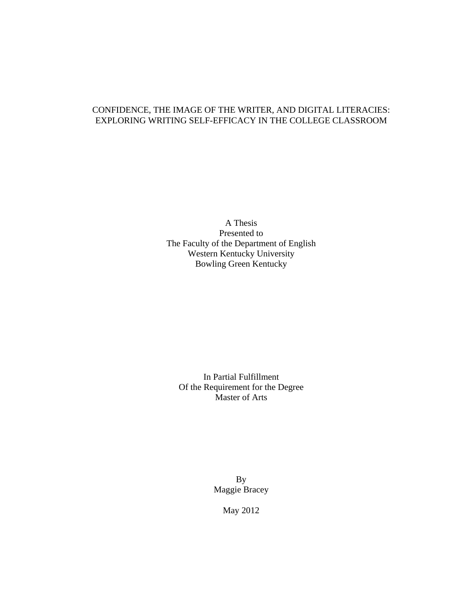### CONFIDENCE, THE IMAGE OF THE WRITER, AND DIGITAL LITERACIES: EXPLORING WRITING SELF-EFFICACY IN THE COLLEGE CLASSROOM

A Thesis Presented to The Faculty of the Department of English Western Kentucky University Bowling Green Kentucky

In Partial Fulfillment Of the Requirement for the Degree Master of Arts

> By Maggie Bracey

> > May 2012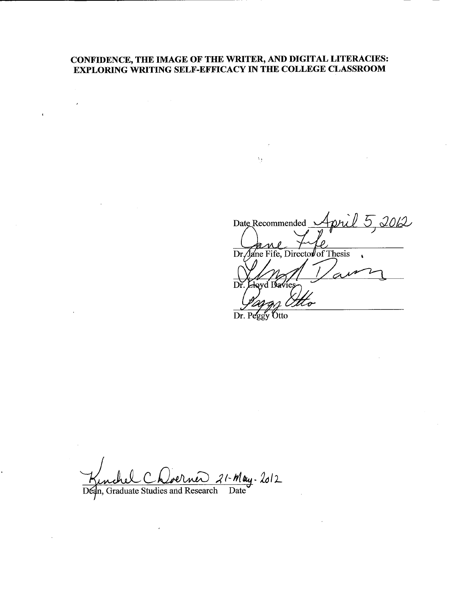# CONFIDENCE, THE IMAGE OF THE WRITER, AND DIGITAL LITERACIES:<br>EXPLORING WRITING SELF-EFFICACY IN THE COLLEGE CLASSROOM

 $\bar{\epsilon}$ 

 $\ddot{\phantom{a}}$ 

Date Recommended April 5, 2012  $\overline{\rho}$ Dr. Jane Fife, Director of Thesis  $\sqrt{2}$ Á  $\overrightarrow{Dr}$ . Lloyd Davies

Dr. Peggy Otto

 $\lambda_{\rm T}$ 

Kinchel Choerner 21-May. 2012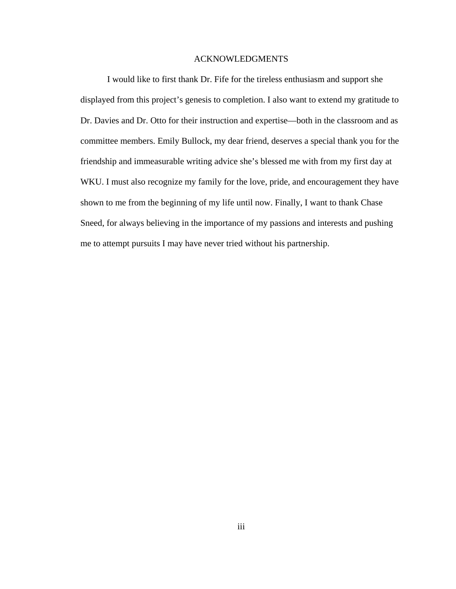#### ACKNOWLEDGMENTS

I would like to first thank Dr. Fife for the tireless enthusiasm and support she displayed from this project's genesis to completion. I also want to extend my gratitude to Dr. Davies and Dr. Otto for their instruction and expertise—both in the classroom and as committee members. Emily Bullock, my dear friend, deserves a special thank you for the friendship and immeasurable writing advice she's blessed me with from my first day at WKU. I must also recognize my family for the love, pride, and encouragement they have shown to me from the beginning of my life until now. Finally, I want to thank Chase Sneed, for always believing in the importance of my passions and interests and pushing me to attempt pursuits I may have never tried without his partnership.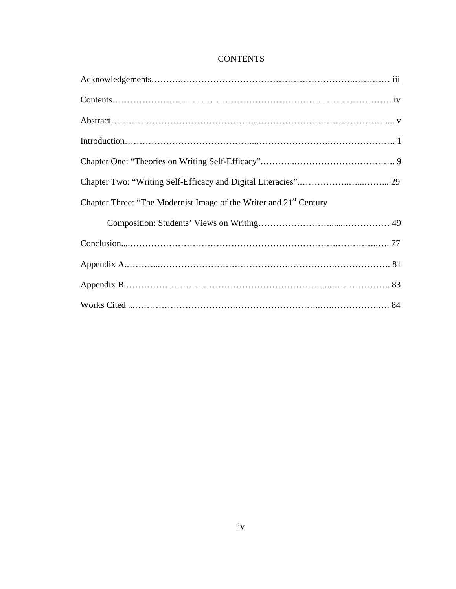| <b>CONTENTS</b> |
|-----------------|
|-----------------|

| Chapter Three: "The Modernist Image of the Writer and 21 <sup>st</sup> Century |
|--------------------------------------------------------------------------------|
|                                                                                |
|                                                                                |
|                                                                                |
|                                                                                |
|                                                                                |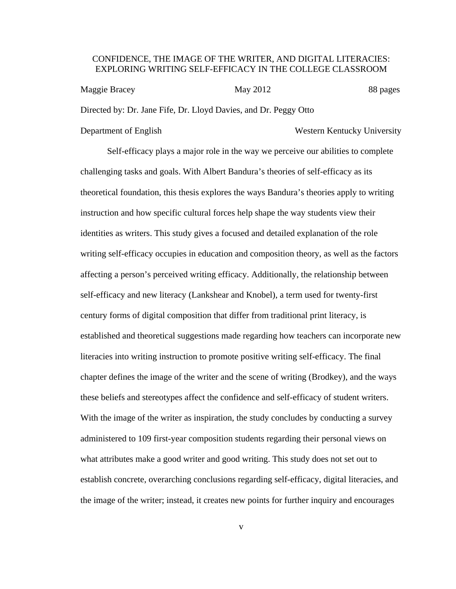#### CONFIDENCE, THE IMAGE OF THE WRITER, AND DIGITAL LITERACIES: EXPLORING WRITING SELF-EFFICACY IN THE COLLEGE CLASSROOM

| Maggie Bracey | May 2012                                                         | 88 pages |
|---------------|------------------------------------------------------------------|----------|
|               | Directed by: Dr. Jane Fife, Dr. Lloyd Davies, and Dr. Peggy Otto |          |

#### Department of English Western Kentucky University

Self-efficacy plays a major role in the way we perceive our abilities to complete challenging tasks and goals. With Albert Bandura's theories of self-efficacy as its theoretical foundation, this thesis explores the ways Bandura's theories apply to writing instruction and how specific cultural forces help shape the way students view their identities as writers. This study gives a focused and detailed explanation of the role writing self-efficacy occupies in education and composition theory, as well as the factors affecting a person's perceived writing efficacy. Additionally, the relationship between self-efficacy and new literacy (Lankshear and Knobel), a term used for twenty-first century forms of digital composition that differ from traditional print literacy, is established and theoretical suggestions made regarding how teachers can incorporate new literacies into writing instruction to promote positive writing self-efficacy. The final chapter defines the image of the writer and the scene of writing (Brodkey), and the ways these beliefs and stereotypes affect the confidence and self-efficacy of student writers. With the image of the writer as inspiration, the study concludes by conducting a survey administered to 109 first-year composition students regarding their personal views on what attributes make a good writer and good writing. This study does not set out to establish concrete, overarching conclusions regarding self-efficacy, digital literacies, and the image of the writer; instead, it creates new points for further inquiry and encourages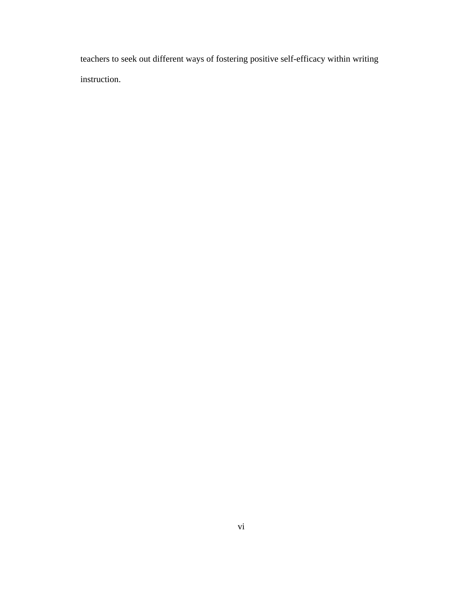teachers to seek out different ways of fostering positive self-efficacy within writing instruction.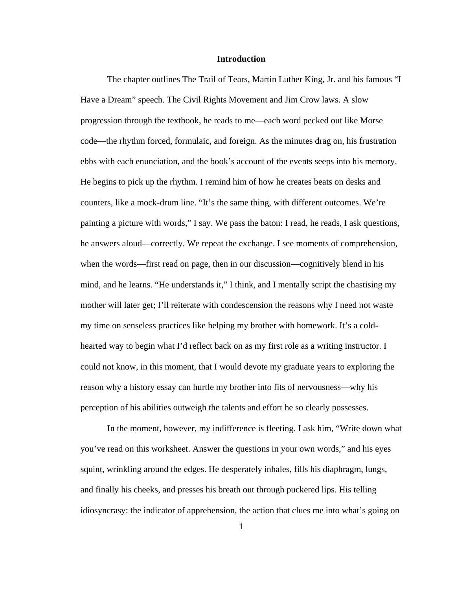#### **Introduction**

The chapter outlines The Trail of Tears, Martin Luther King, Jr. and his famous "I Have a Dream" speech. The Civil Rights Movement and Jim Crow laws. A slow progression through the textbook, he reads to me—each word pecked out like Morse code—the rhythm forced, formulaic, and foreign. As the minutes drag on, his frustration ebbs with each enunciation, and the book's account of the events seeps into his memory. He begins to pick up the rhythm. I remind him of how he creates beats on desks and counters, like a mock-drum line. "It's the same thing, with different outcomes. We're painting a picture with words," I say. We pass the baton: I read, he reads, I ask questions, he answers aloud—correctly. We repeat the exchange. I see moments of comprehension, when the words—first read on page, then in our discussion—cognitively blend in his mind, and he learns. "He understands it," I think, and I mentally script the chastising my mother will later get; I'll reiterate with condescension the reasons why I need not waste my time on senseless practices like helping my brother with homework. It's a coldhearted way to begin what I'd reflect back on as my first role as a writing instructor. I could not know, in this moment, that I would devote my graduate years to exploring the reason why a history essay can hurtle my brother into fits of nervousness—why his perception of his abilities outweigh the talents and effort he so clearly possesses.

In the moment, however, my indifference is fleeting. I ask him, "Write down what you've read on this worksheet. Answer the questions in your own words," and his eyes squint, wrinkling around the edges. He desperately inhales, fills his diaphragm, lungs, and finally his cheeks, and presses his breath out through puckered lips. His telling idiosyncrasy: the indicator of apprehension, the action that clues me into what's going on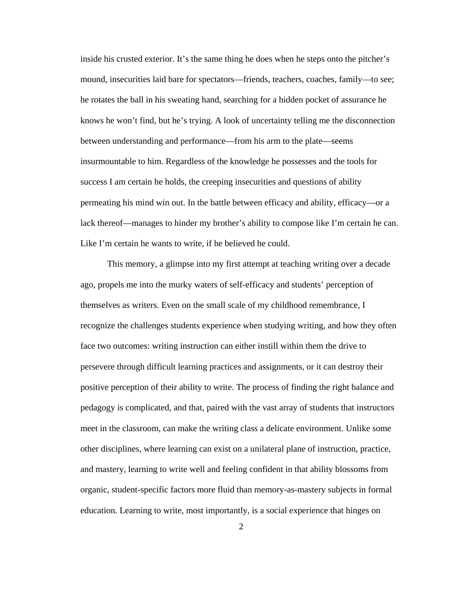inside his crusted exterior. It's the same thing he does when he steps onto the pitcher's mound, insecurities laid bare for spectators—friends, teachers, coaches, family—to see; he rotates the ball in his sweating hand, searching for a hidden pocket of assurance he knows he won't find, but he's trying. A look of uncertainty telling me the disconnection between understanding and performance—from his arm to the plate—seems insurmountable to him. Regardless of the knowledge he possesses and the tools for success I am certain he holds, the creeping insecurities and questions of ability permeating his mind win out. In the battle between efficacy and ability, efficacy—or a lack thereof—manages to hinder my brother's ability to compose like I'm certain he can. Like I'm certain he wants to write, if he believed he could.

This memory, a glimpse into my first attempt at teaching writing over a decade ago, propels me into the murky waters of self-efficacy and students' perception of themselves as writers. Even on the small scale of my childhood remembrance, I recognize the challenges students experience when studying writing, and how they often face two outcomes: writing instruction can either instill within them the drive to persevere through difficult learning practices and assignments, or it can destroy their positive perception of their ability to write. The process of finding the right balance and pedagogy is complicated, and that, paired with the vast array of students that instructors meet in the classroom, can make the writing class a delicate environment. Unlike some other disciplines, where learning can exist on a unilateral plane of instruction, practice, and mastery, learning to write well and feeling confident in that ability blossoms from organic, student-specific factors more fluid than memory-as-mastery subjects in formal education. Learning to write, most importantly, is a social experience that hinges on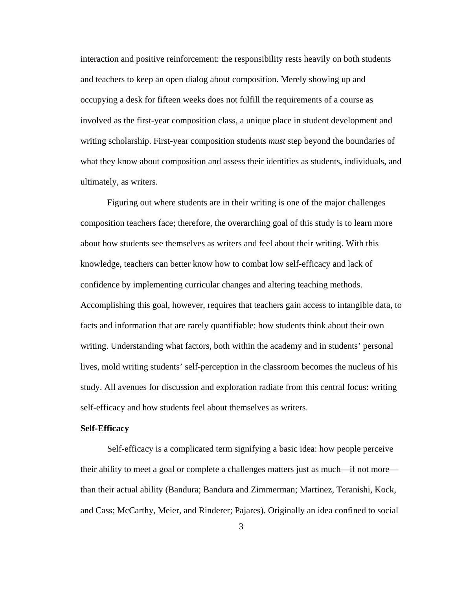interaction and positive reinforcement: the responsibility rests heavily on both students and teachers to keep an open dialog about composition. Merely showing up and occupying a desk for fifteen weeks does not fulfill the requirements of a course as involved as the first-year composition class, a unique place in student development and writing scholarship. First-year composition students *must* step beyond the boundaries of what they know about composition and assess their identities as students, individuals, and ultimately, as writers.

Figuring out where students are in their writing is one of the major challenges composition teachers face; therefore, the overarching goal of this study is to learn more about how students see themselves as writers and feel about their writing. With this knowledge, teachers can better know how to combat low self-efficacy and lack of confidence by implementing curricular changes and altering teaching methods. Accomplishing this goal, however, requires that teachers gain access to intangible data, to facts and information that are rarely quantifiable: how students think about their own writing. Understanding what factors, both within the academy and in students' personal lives, mold writing students' self-perception in the classroom becomes the nucleus of his study. All avenues for discussion and exploration radiate from this central focus: writing self-efficacy and how students feel about themselves as writers.

#### **Self-Efficacy**

Self-efficacy is a complicated term signifying a basic idea: how people perceive their ability to meet a goal or complete a challenges matters just as much—if not more than their actual ability (Bandura; Bandura and Zimmerman; Martinez, Teranishi, Kock, and Cass; McCarthy, Meier, and Rinderer; Pajares). Originally an idea confined to social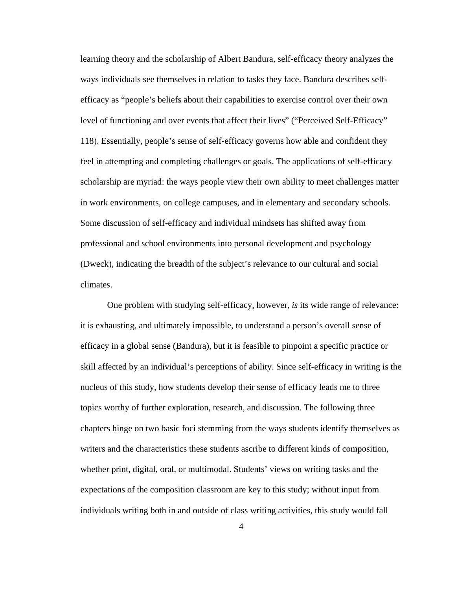learning theory and the scholarship of Albert Bandura, self-efficacy theory analyzes the ways individuals see themselves in relation to tasks they face. Bandura describes selfefficacy as "people's beliefs about their capabilities to exercise control over their own level of functioning and over events that affect their lives" ("Perceived Self-Efficacy" 118). Essentially, people's sense of self-efficacy governs how able and confident they feel in attempting and completing challenges or goals. The applications of self-efficacy scholarship are myriad: the ways people view their own ability to meet challenges matter in work environments, on college campuses, and in elementary and secondary schools. Some discussion of self-efficacy and individual mindsets has shifted away from professional and school environments into personal development and psychology (Dweck), indicating the breadth of the subject's relevance to our cultural and social climates.

One problem with studying self-efficacy, however, *is* its wide range of relevance: it is exhausting, and ultimately impossible, to understand a person's overall sense of efficacy in a global sense (Bandura), but it is feasible to pinpoint a specific practice or skill affected by an individual's perceptions of ability. Since self-efficacy in writing is the nucleus of this study, how students develop their sense of efficacy leads me to three topics worthy of further exploration, research, and discussion. The following three chapters hinge on two basic foci stemming from the ways students identify themselves as writers and the characteristics these students ascribe to different kinds of composition, whether print, digital, oral, or multimodal. Students' views on writing tasks and the expectations of the composition classroom are key to this study; without input from individuals writing both in and outside of class writing activities, this study would fall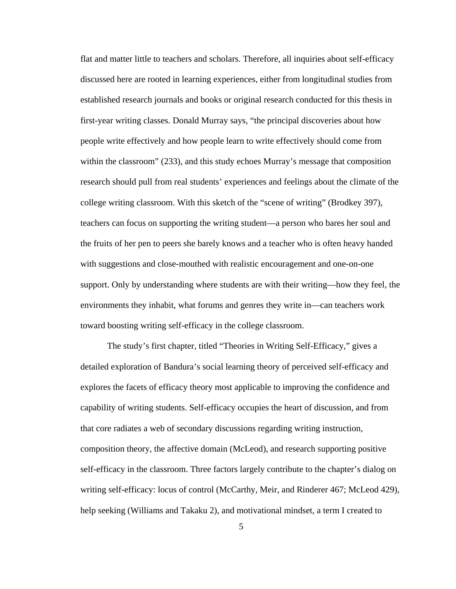flat and matter little to teachers and scholars. Therefore, all inquiries about self-efficacy discussed here are rooted in learning experiences, either from longitudinal studies from established research journals and books or original research conducted for this thesis in first-year writing classes. Donald Murray says, "the principal discoveries about how people write effectively and how people learn to write effectively should come from within the classroom" (233), and this study echoes Murray's message that composition research should pull from real students' experiences and feelings about the climate of the college writing classroom. With this sketch of the "scene of writing" (Brodkey 397), teachers can focus on supporting the writing student—a person who bares her soul and the fruits of her pen to peers she barely knows and a teacher who is often heavy handed with suggestions and close-mouthed with realistic encouragement and one-on-one support. Only by understanding where students are with their writing—how they feel, the environments they inhabit, what forums and genres they write in—can teachers work toward boosting writing self-efficacy in the college classroom.

 The study's first chapter, titled "Theories in Writing Self-Efficacy," gives a detailed exploration of Bandura's social learning theory of perceived self-efficacy and explores the facets of efficacy theory most applicable to improving the confidence and capability of writing students. Self-efficacy occupies the heart of discussion, and from that core radiates a web of secondary discussions regarding writing instruction, composition theory, the affective domain (McLeod), and research supporting positive self-efficacy in the classroom. Three factors largely contribute to the chapter's dialog on writing self-efficacy: locus of control (McCarthy, Meir, and Rinderer 467; McLeod 429), help seeking (Williams and Takaku 2), and motivational mindset, a term I created to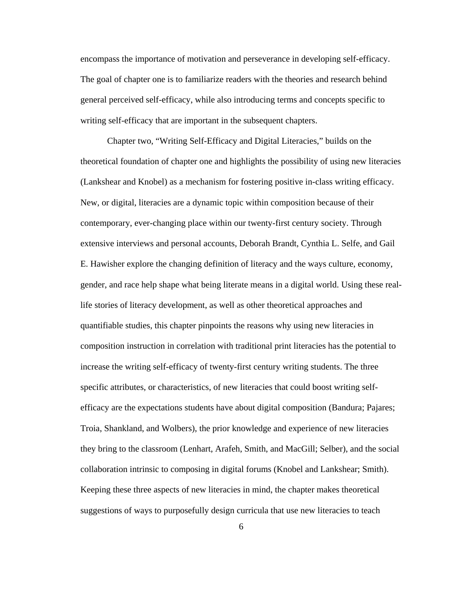encompass the importance of motivation and perseverance in developing self-efficacy. The goal of chapter one is to familiarize readers with the theories and research behind general perceived self-efficacy, while also introducing terms and concepts specific to writing self-efficacy that are important in the subsequent chapters.

 Chapter two, "Writing Self-Efficacy and Digital Literacies," builds on the theoretical foundation of chapter one and highlights the possibility of using new literacies (Lankshear and Knobel) as a mechanism for fostering positive in-class writing efficacy. New, or digital, literacies are a dynamic topic within composition because of their contemporary, ever-changing place within our twenty-first century society. Through extensive interviews and personal accounts, Deborah Brandt, Cynthia L. Selfe, and Gail E. Hawisher explore the changing definition of literacy and the ways culture, economy, gender, and race help shape what being literate means in a digital world. Using these reallife stories of literacy development, as well as other theoretical approaches and quantifiable studies, this chapter pinpoints the reasons why using new literacies in composition instruction in correlation with traditional print literacies has the potential to increase the writing self-efficacy of twenty-first century writing students. The three specific attributes, or characteristics, of new literacies that could boost writing selfefficacy are the expectations students have about digital composition (Bandura; Pajares; Troia, Shankland, and Wolbers), the prior knowledge and experience of new literacies they bring to the classroom (Lenhart, Arafeh, Smith, and MacGill; Selber), and the social collaboration intrinsic to composing in digital forums (Knobel and Lankshear; Smith). Keeping these three aspects of new literacies in mind, the chapter makes theoretical suggestions of ways to purposefully design curricula that use new literacies to teach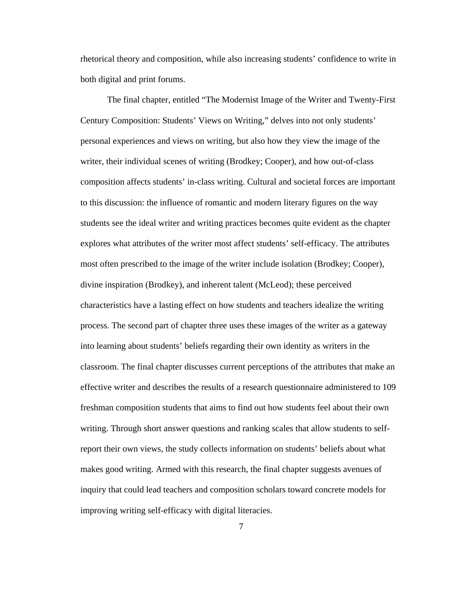rhetorical theory and composition, while also increasing students' confidence to write in both digital and print forums.

The final chapter, entitled "The Modernist Image of the Writer and Twenty-First Century Composition: Students' Views on Writing," delves into not only students' personal experiences and views on writing, but also how they view the image of the writer, their individual scenes of writing (Brodkey; Cooper), and how out-of-class composition affects students' in-class writing. Cultural and societal forces are important to this discussion: the influence of romantic and modern literary figures on the way students see the ideal writer and writing practices becomes quite evident as the chapter explores what attributes of the writer most affect students' self-efficacy. The attributes most often prescribed to the image of the writer include isolation (Brodkey; Cooper), divine inspiration (Brodkey), and inherent talent (McLeod); these perceived characteristics have a lasting effect on how students and teachers idealize the writing process. The second part of chapter three uses these images of the writer as a gateway into learning about students' beliefs regarding their own identity as writers in the classroom. The final chapter discusses current perceptions of the attributes that make an effective writer and describes the results of a research questionnaire administered to 109 freshman composition students that aims to find out how students feel about their own writing. Through short answer questions and ranking scales that allow students to selfreport their own views, the study collects information on students' beliefs about what makes good writing. Armed with this research, the final chapter suggests avenues of inquiry that could lead teachers and composition scholars toward concrete models for improving writing self-efficacy with digital literacies.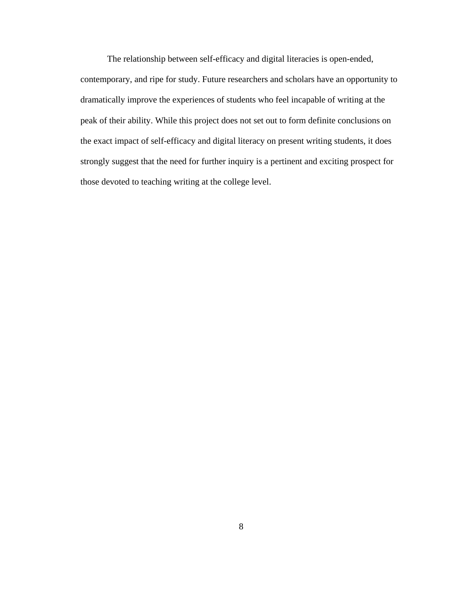The relationship between self-efficacy and digital literacies is open-ended,

contemporary, and ripe for study. Future researchers and scholars have an opportunity to dramatically improve the experiences of students who feel incapable of writing at the peak of their ability. While this project does not set out to form definite conclusions on the exact impact of self-efficacy and digital literacy on present writing students, it does strongly suggest that the need for further inquiry is a pertinent and exciting prospect for those devoted to teaching writing at the college level.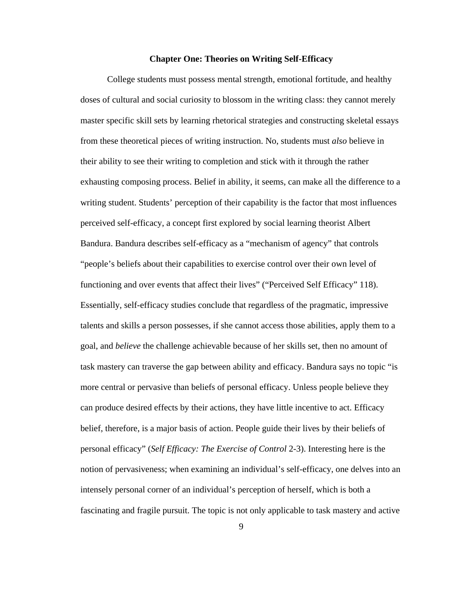#### **Chapter One: Theories on Writing Self-Efficacy**

College students must possess mental strength, emotional fortitude, and healthy doses of cultural and social curiosity to blossom in the writing class: they cannot merely master specific skill sets by learning rhetorical strategies and constructing skeletal essays from these theoretical pieces of writing instruction. No, students must *also* believe in their ability to see their writing to completion and stick with it through the rather exhausting composing process. Belief in ability, it seems, can make all the difference to a writing student. Students' perception of their capability is the factor that most influences perceived self-efficacy, a concept first explored by social learning theorist Albert Bandura. Bandura describes self-efficacy as a "mechanism of agency" that controls "people's beliefs about their capabilities to exercise control over their own level of functioning and over events that affect their lives" ("Perceived Self Efficacy" 118). Essentially, self-efficacy studies conclude that regardless of the pragmatic, impressive talents and skills a person possesses, if she cannot access those abilities, apply them to a goal, and *believe* the challenge achievable because of her skills set, then no amount of task mastery can traverse the gap between ability and efficacy. Bandura says no topic "is more central or pervasive than beliefs of personal efficacy. Unless people believe they can produce desired effects by their actions, they have little incentive to act. Efficacy belief, therefore, is a major basis of action. People guide their lives by their beliefs of personal efficacy" (*Self Efficacy: The Exercise of Control* 2-3). Interesting here is the notion of pervasiveness; when examining an individual's self-efficacy, one delves into an intensely personal corner of an individual's perception of herself, which is both a fascinating and fragile pursuit. The topic is not only applicable to task mastery and active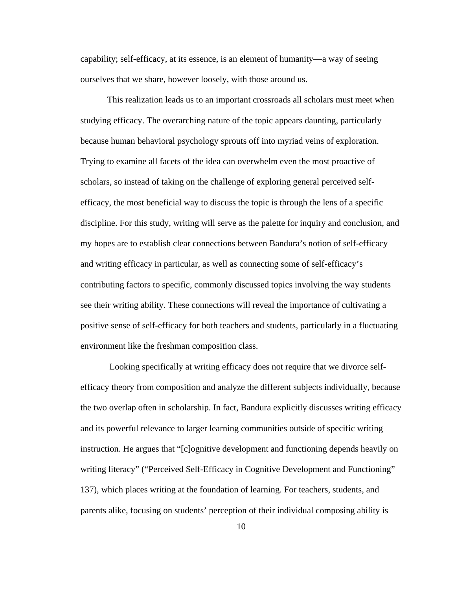capability; self-efficacy, at its essence, is an element of humanity—a way of seeing ourselves that we share, however loosely, with those around us.

This realization leads us to an important crossroads all scholars must meet when studying efficacy. The overarching nature of the topic appears daunting, particularly because human behavioral psychology sprouts off into myriad veins of exploration. Trying to examine all facets of the idea can overwhelm even the most proactive of scholars, so instead of taking on the challenge of exploring general perceived selfefficacy, the most beneficial way to discuss the topic is through the lens of a specific discipline. For this study, writing will serve as the palette for inquiry and conclusion, and my hopes are to establish clear connections between Bandura's notion of self-efficacy and writing efficacy in particular, as well as connecting some of self-efficacy's contributing factors to specific, commonly discussed topics involving the way students see their writing ability. These connections will reveal the importance of cultivating a positive sense of self-efficacy for both teachers and students, particularly in a fluctuating environment like the freshman composition class.

 Looking specifically at writing efficacy does not require that we divorce selfefficacy theory from composition and analyze the different subjects individually, because the two overlap often in scholarship. In fact, Bandura explicitly discusses writing efficacy and its powerful relevance to larger learning communities outside of specific writing instruction. He argues that "[c]ognitive development and functioning depends heavily on writing literacy" ("Perceived Self-Efficacy in Cognitive Development and Functioning" 137), which places writing at the foundation of learning. For teachers, students, and parents alike, focusing on students' perception of their individual composing ability is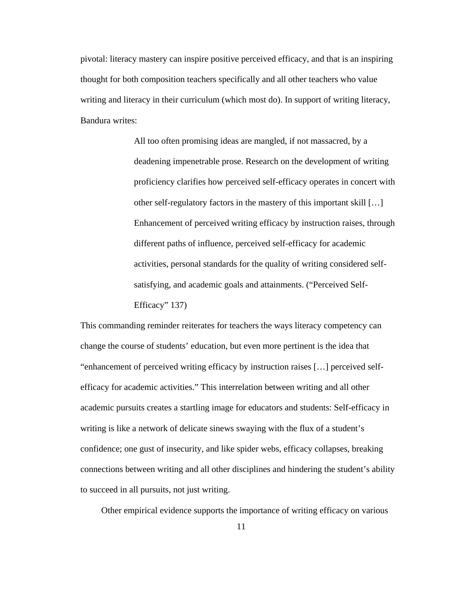pivotal: literacy mastery can inspire positive perceived efficacy, and that is an inspiring thought for both composition teachers specifically and all other teachers who value writing and literacy in their curriculum (which most do). In support of writing literacy, Bandura writes:

> All too often promising ideas are mangled, if not massacred, by a deadening impenetrable prose. Research on the development of writing proficiency clarifies how perceived self-efficacy operates in concert with other self-regulatory factors in the mastery of this important skill […] Enhancement of perceived writing efficacy by instruction raises, through different paths of influence, perceived self-efficacy for academic activities, personal standards for the quality of writing considered selfsatisfying, and academic goals and attainments. ("Perceived Self-Efficacy" 137)

This commanding reminder reiterates for teachers the ways literacy competency can change the course of students' education, but even more pertinent is the idea that "enhancement of perceived writing efficacy by instruction raises […] perceived selfefficacy for academic activities." This interrelation between writing and all other academic pursuits creates a startling image for educators and students: Self-efficacy in writing is like a network of delicate sinews swaying with the flux of a student's confidence; one gust of insecurity, and like spider webs, efficacy collapses, breaking connections between writing and all other disciplines and hindering the student's ability to succeed in all pursuits, not just writing.

Other empirical evidence supports the importance of writing efficacy on various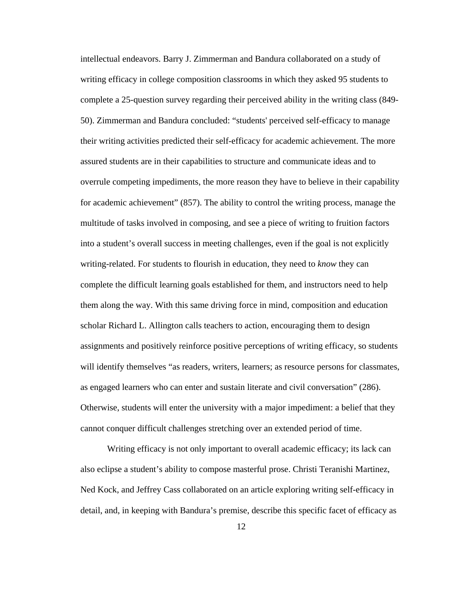intellectual endeavors. Barry J. Zimmerman and Bandura collaborated on a study of writing efficacy in college composition classrooms in which they asked 95 students to complete a 25-question survey regarding their perceived ability in the writing class (849- 50). Zimmerman and Bandura concluded: "students' perceived self-efficacy to manage their writing activities predicted their self-efficacy for academic achievement. The more assured students are in their capabilities to structure and communicate ideas and to overrule competing impediments, the more reason they have to believe in their capability for academic achievement" (857). The ability to control the writing process, manage the multitude of tasks involved in composing, and see a piece of writing to fruition factors into a student's overall success in meeting challenges, even if the goal is not explicitly writing-related. For students to flourish in education, they need to *know* they can complete the difficult learning goals established for them, and instructors need to help them along the way. With this same driving force in mind, composition and education scholar Richard L. Allington calls teachers to action, encouraging them to design assignments and positively reinforce positive perceptions of writing efficacy, so students will identify themselves "as readers, writers, learners; as resource persons for classmates, as engaged learners who can enter and sustain literate and civil conversation" (286). Otherwise, students will enter the university with a major impediment: a belief that they cannot conquer difficult challenges stretching over an extended period of time.

Writing efficacy is not only important to overall academic efficacy; its lack can also eclipse a student's ability to compose masterful prose. Christi Teranishi Martinez, Ned Kock, and Jeffrey Cass collaborated on an article exploring writing self-efficacy in detail, and, in keeping with Bandura's premise, describe this specific facet of efficacy as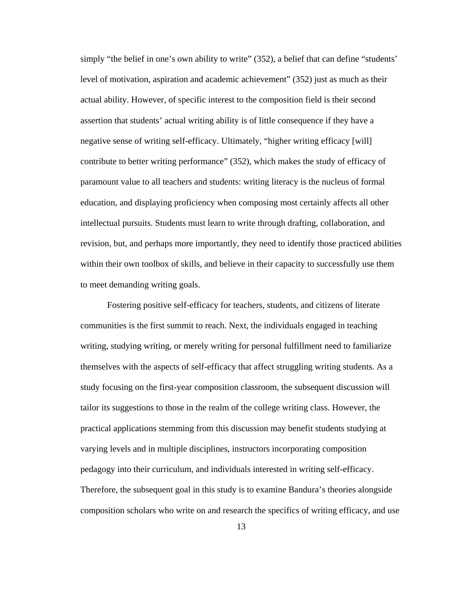simply "the belief in one's own ability to write" (352), a belief that can define "students' level of motivation, aspiration and academic achievement" (352) just as much as their actual ability. However, of specific interest to the composition field is their second assertion that students' actual writing ability is of little consequence if they have a negative sense of writing self-efficacy. Ultimately, "higher writing efficacy [will] contribute to better writing performance" (352), which makes the study of efficacy of paramount value to all teachers and students: writing literacy is the nucleus of formal education, and displaying proficiency when composing most certainly affects all other intellectual pursuits. Students must learn to write through drafting, collaboration, and revision, but, and perhaps more importantly, they need to identify those practiced abilities within their own toolbox of skills, and believe in their capacity to successfully use them to meet demanding writing goals.

Fostering positive self-efficacy for teachers, students, and citizens of literate communities is the first summit to reach. Next, the individuals engaged in teaching writing, studying writing, or merely writing for personal fulfillment need to familiarize themselves with the aspects of self-efficacy that affect struggling writing students. As a study focusing on the first-year composition classroom, the subsequent discussion will tailor its suggestions to those in the realm of the college writing class. However, the practical applications stemming from this discussion may benefit students studying at varying levels and in multiple disciplines, instructors incorporating composition pedagogy into their curriculum, and individuals interested in writing self-efficacy. Therefore, the subsequent goal in this study is to examine Bandura's theories alongside composition scholars who write on and research the specifics of writing efficacy, and use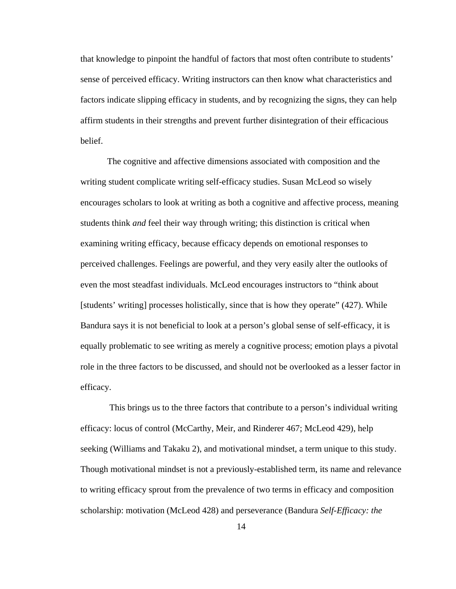that knowledge to pinpoint the handful of factors that most often contribute to students' sense of perceived efficacy. Writing instructors can then know what characteristics and factors indicate slipping efficacy in students, and by recognizing the signs, they can help affirm students in their strengths and prevent further disintegration of their efficacious belief.

The cognitive and affective dimensions associated with composition and the writing student complicate writing self-efficacy studies. Susan McLeod so wisely encourages scholars to look at writing as both a cognitive and affective process, meaning students think *and* feel their way through writing; this distinction is critical when examining writing efficacy, because efficacy depends on emotional responses to perceived challenges. Feelings are powerful, and they very easily alter the outlooks of even the most steadfast individuals. McLeod encourages instructors to "think about [students' writing] processes holistically, since that is how they operate" (427). While Bandura says it is not beneficial to look at a person's global sense of self-efficacy, it is equally problematic to see writing as merely a cognitive process; emotion plays a pivotal role in the three factors to be discussed, and should not be overlooked as a lesser factor in efficacy.

 This brings us to the three factors that contribute to a person's individual writing efficacy: locus of control (McCarthy, Meir, and Rinderer 467; McLeod 429), help seeking (Williams and Takaku 2), and motivational mindset, a term unique to this study. Though motivational mindset is not a previously-established term, its name and relevance to writing efficacy sprout from the prevalence of two terms in efficacy and composition scholarship: motivation (McLeod 428) and perseverance (Bandura *Self-Efficacy: the*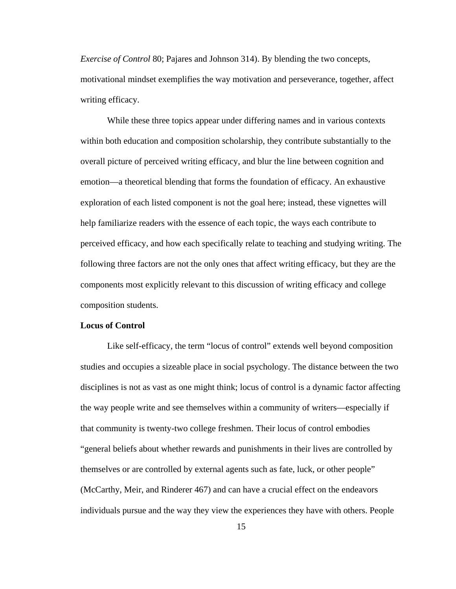*Exercise of Control* 80; Pajares and Johnson 314). By blending the two concepts, motivational mindset exemplifies the way motivation and perseverance, together, affect writing efficacy.

While these three topics appear under differing names and in various contexts within both education and composition scholarship, they contribute substantially to the overall picture of perceived writing efficacy, and blur the line between cognition and emotion—a theoretical blending that forms the foundation of efficacy. An exhaustive exploration of each listed component is not the goal here; instead, these vignettes will help familiarize readers with the essence of each topic, the ways each contribute to perceived efficacy, and how each specifically relate to teaching and studying writing. The following three factors are not the only ones that affect writing efficacy, but they are the components most explicitly relevant to this discussion of writing efficacy and college composition students.

#### **Locus of Control**

Like self-efficacy, the term "locus of control" extends well beyond composition studies and occupies a sizeable place in social psychology. The distance between the two disciplines is not as vast as one might think; locus of control is a dynamic factor affecting the way people write and see themselves within a community of writers—especially if that community is twenty-two college freshmen. Their locus of control embodies "general beliefs about whether rewards and punishments in their lives are controlled by themselves or are controlled by external agents such as fate, luck, or other people" (McCarthy, Meir, and Rinderer 467) and can have a crucial effect on the endeavors individuals pursue and the way they view the experiences they have with others. People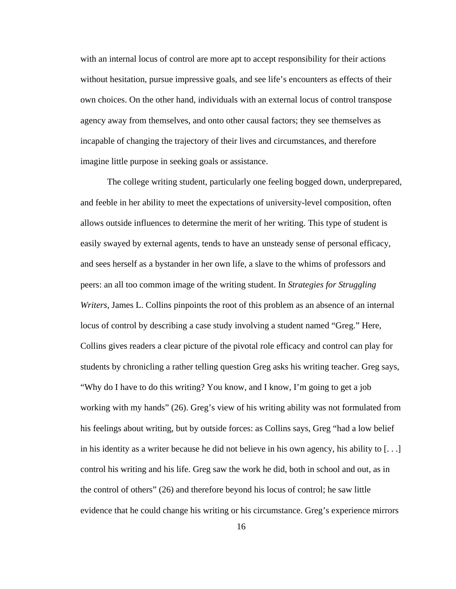with an internal locus of control are more apt to accept responsibility for their actions without hesitation, pursue impressive goals, and see life's encounters as effects of their own choices. On the other hand, individuals with an external locus of control transpose agency away from themselves, and onto other causal factors; they see themselves as incapable of changing the trajectory of their lives and circumstances, and therefore imagine little purpose in seeking goals or assistance.

The college writing student, particularly one feeling bogged down, underprepared, and feeble in her ability to meet the expectations of university-level composition, often allows outside influences to determine the merit of her writing. This type of student is easily swayed by external agents, tends to have an unsteady sense of personal efficacy, and sees herself as a bystander in her own life, a slave to the whims of professors and peers: an all too common image of the writing student. In *Strategies for Struggling Writers*, James L. Collins pinpoints the root of this problem as an absence of an internal locus of control by describing a case study involving a student named "Greg." Here, Collins gives readers a clear picture of the pivotal role efficacy and control can play for students by chronicling a rather telling question Greg asks his writing teacher. Greg says, "Why do I have to do this writing? You know, and I know, I'm going to get a job working with my hands" (26). Greg's view of his writing ability was not formulated from his feelings about writing, but by outside forces: as Collins says, Greg "had a low belief in his identity as a writer because he did not believe in his own agency, his ability to [. . .] control his writing and his life. Greg saw the work he did, both in school and out, as in the control of others" (26) and therefore beyond his locus of control; he saw little evidence that he could change his writing or his circumstance. Greg's experience mirrors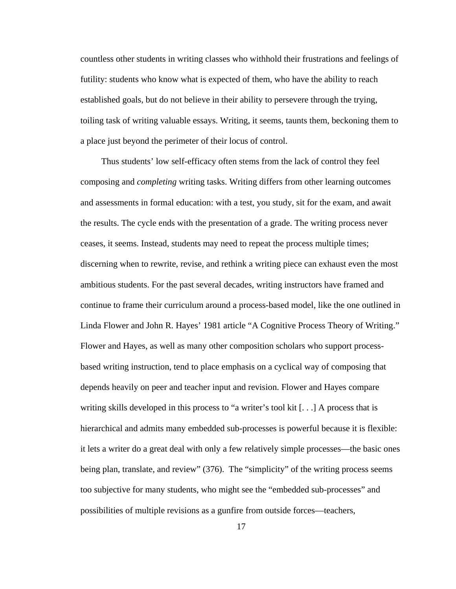countless other students in writing classes who withhold their frustrations and feelings of futility: students who know what is expected of them, who have the ability to reach established goals, but do not believe in their ability to persevere through the trying, toiling task of writing valuable essays. Writing, it seems, taunts them, beckoning them to a place just beyond the perimeter of their locus of control.

 Thus students' low self-efficacy often stems from the lack of control they feel composing and *completing* writing tasks. Writing differs from other learning outcomes and assessments in formal education: with a test, you study, sit for the exam, and await the results. The cycle ends with the presentation of a grade. The writing process never ceases, it seems. Instead, students may need to repeat the process multiple times; discerning when to rewrite, revise, and rethink a writing piece can exhaust even the most ambitious students. For the past several decades, writing instructors have framed and continue to frame their curriculum around a process-based model, like the one outlined in Linda Flower and John R. Hayes' 1981 article "A Cognitive Process Theory of Writing." Flower and Hayes, as well as many other composition scholars who support processbased writing instruction, tend to place emphasis on a cyclical way of composing that depends heavily on peer and teacher input and revision. Flower and Hayes compare writing skills developed in this process to "a writer's tool kit [. . .] A process that is hierarchical and admits many embedded sub-processes is powerful because it is flexible: it lets a writer do a great deal with only a few relatively simple processes—the basic ones being plan, translate, and review" (376). The "simplicity" of the writing process seems too subjective for many students, who might see the "embedded sub-processes" and possibilities of multiple revisions as a gunfire from outside forces—teachers,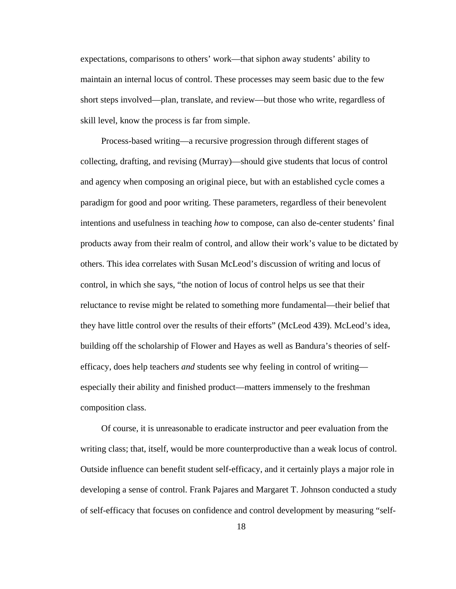expectations, comparisons to others' work—that siphon away students' ability to maintain an internal locus of control. These processes may seem basic due to the few short steps involved—plan, translate, and review—but those who write, regardless of skill level, know the process is far from simple.

 Process-based writing—a recursive progression through different stages of collecting, drafting, and revising (Murray)—should give students that locus of control and agency when composing an original piece, but with an established cycle comes a paradigm for good and poor writing. These parameters, regardless of their benevolent intentions and usefulness in teaching *how* to compose, can also de-center students' final products away from their realm of control, and allow their work's value to be dictated by others. This idea correlates with Susan McLeod's discussion of writing and locus of control, in which she says, "the notion of locus of control helps us see that their reluctance to revise might be related to something more fundamental—their belief that they have little control over the results of their efforts" (McLeod 439). McLeod's idea, building off the scholarship of Flower and Hayes as well as Bandura's theories of selfefficacy, does help teachers *and* students see why feeling in control of writing especially their ability and finished product—matters immensely to the freshman composition class.

 Of course, it is unreasonable to eradicate instructor and peer evaluation from the writing class; that, itself, would be more counterproductive than a weak locus of control. Outside influence can benefit student self-efficacy, and it certainly plays a major role in developing a sense of control. Frank Pajares and Margaret T. Johnson conducted a study of self-efficacy that focuses on confidence and control development by measuring "self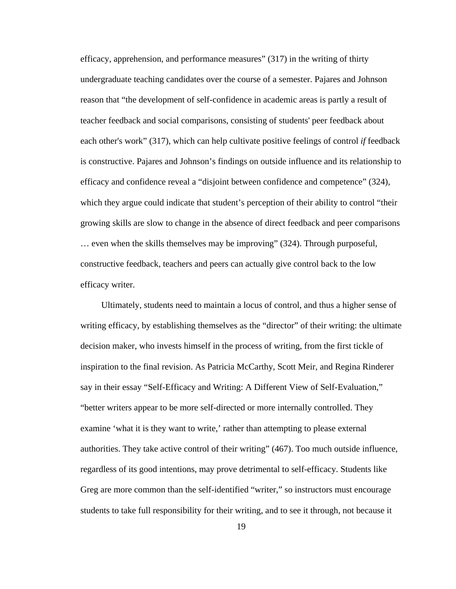efficacy, apprehension, and performance measures" (317) in the writing of thirty undergraduate teaching candidates over the course of a semester. Pajares and Johnson reason that "the development of self-confidence in academic areas is partly a result of teacher feedback and social comparisons, consisting of students' peer feedback about each other's work" (317), which can help cultivate positive feelings of control *if* feedback is constructive. Pajares and Johnson's findings on outside influence and its relationship to efficacy and confidence reveal a "disjoint between confidence and competence" (324), which they argue could indicate that student's perception of their ability to control "their growing skills are slow to change in the absence of direct feedback and peer comparisons … even when the skills themselves may be improving" (324). Through purposeful, constructive feedback, teachers and peers can actually give control back to the low efficacy writer.

 Ultimately, students need to maintain a locus of control, and thus a higher sense of writing efficacy, by establishing themselves as the "director" of their writing: the ultimate decision maker, who invests himself in the process of writing, from the first tickle of inspiration to the final revision. As Patricia McCarthy, Scott Meir, and Regina Rinderer say in their essay "Self-Efficacy and Writing: A Different View of Self-Evaluation," "better writers appear to be more self-directed or more internally controlled. They examine 'what it is they want to write,' rather than attempting to please external authorities. They take active control of their writing" (467). Too much outside influence, regardless of its good intentions, may prove detrimental to self-efficacy. Students like Greg are more common than the self-identified "writer," so instructors must encourage students to take full responsibility for their writing, and to see it through, not because it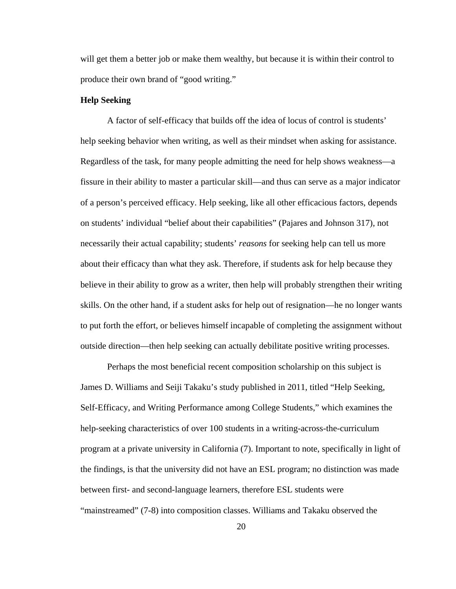will get them a better job or make them wealthy, but because it is within their control to produce their own brand of "good writing."

#### **Help Seeking**

A factor of self-efficacy that builds off the idea of locus of control is students' help seeking behavior when writing, as well as their mindset when asking for assistance. Regardless of the task, for many people admitting the need for help shows weakness—a fissure in their ability to master a particular skill—and thus can serve as a major indicator of a person's perceived efficacy. Help seeking, like all other efficacious factors, depends on students' individual "belief about their capabilities" (Pajares and Johnson 317), not necessarily their actual capability; students' *reasons* for seeking help can tell us more about their efficacy than what they ask. Therefore, if students ask for help because they believe in their ability to grow as a writer, then help will probably strengthen their writing skills. On the other hand, if a student asks for help out of resignation—he no longer wants to put forth the effort, or believes himself incapable of completing the assignment without outside direction—then help seeking can actually debilitate positive writing processes.

Perhaps the most beneficial recent composition scholarship on this subject is James D. Williams and Seiji Takaku's study published in 2011, titled "Help Seeking, Self-Efficacy, and Writing Performance among College Students," which examines the help-seeking characteristics of over 100 students in a writing-across-the-curriculum program at a private university in California (7). Important to note, specifically in light of the findings, is that the university did not have an ESL program; no distinction was made between first- and second-language learners, therefore ESL students were "mainstreamed" (7-8) into composition classes. Williams and Takaku observed the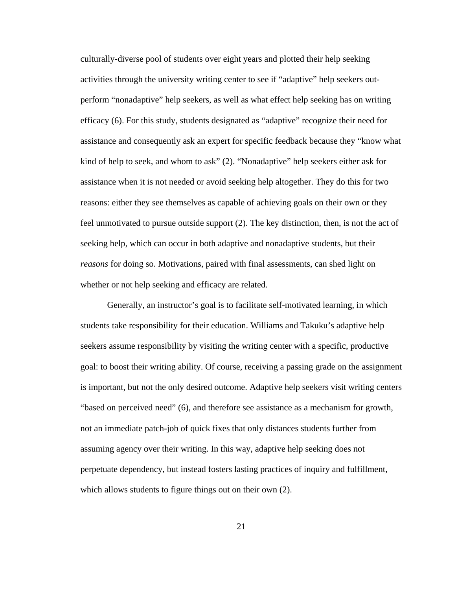culturally-diverse pool of students over eight years and plotted their help seeking activities through the university writing center to see if "adaptive" help seekers outperform "nonadaptive" help seekers, as well as what effect help seeking has on writing efficacy (6). For this study, students designated as "adaptive" recognize their need for assistance and consequently ask an expert for specific feedback because they "know what kind of help to seek, and whom to ask" (2). "Nonadaptive" help seekers either ask for assistance when it is not needed or avoid seeking help altogether. They do this for two reasons: either they see themselves as capable of achieving goals on their own or they feel unmotivated to pursue outside support (2). The key distinction, then, is not the act of seeking help, which can occur in both adaptive and nonadaptive students, but their *reasons* for doing so. Motivations, paired with final assessments, can shed light on whether or not help seeking and efficacy are related.

Generally, an instructor's goal is to facilitate self-motivated learning, in which students take responsibility for their education. Williams and Takuku's adaptive help seekers assume responsibility by visiting the writing center with a specific, productive goal: to boost their writing ability. Of course, receiving a passing grade on the assignment is important, but not the only desired outcome. Adaptive help seekers visit writing centers "based on perceived need" (6), and therefore see assistance as a mechanism for growth, not an immediate patch-job of quick fixes that only distances students further from assuming agency over their writing. In this way, adaptive help seeking does not perpetuate dependency, but instead fosters lasting practices of inquiry and fulfillment, which allows students to figure things out on their own (2).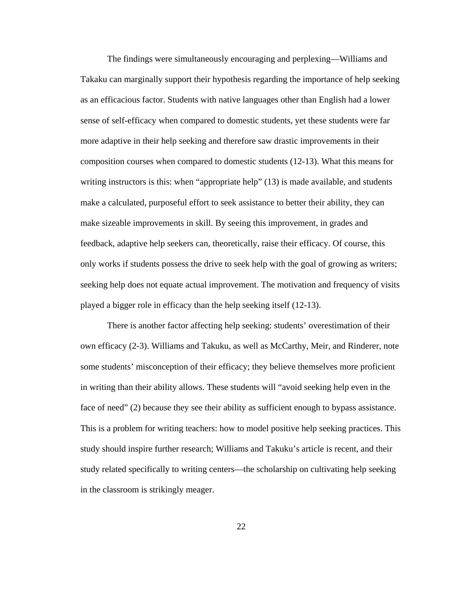The findings were simultaneously encouraging and perplexing—Williams and Takaku can marginally support their hypothesis regarding the importance of help seeking as an efficacious factor. Students with native languages other than English had a lower sense of self-efficacy when compared to domestic students, yet these students were far more adaptive in their help seeking and therefore saw drastic improvements in their composition courses when compared to domestic students (12-13). What this means for writing instructors is this: when "appropriate help" (13) is made available, and students make a calculated, purposeful effort to seek assistance to better their ability, they can make sizeable improvements in skill. By seeing this improvement, in grades and feedback, adaptive help seekers can, theoretically, raise their efficacy. Of course, this only works if students possess the drive to seek help with the goal of growing as writers; seeking help does not equate actual improvement. The motivation and frequency of visits played a bigger role in efficacy than the help seeking itself (12-13).

There is another factor affecting help seeking: students' overestimation of their own efficacy (2-3). Williams and Takuku, as well as McCarthy, Meir, and Rinderer, note some students' misconception of their efficacy; they believe themselves more proficient in writing than their ability allows. These students will "avoid seeking help even in the face of need" (2) because they see their ability as sufficient enough to bypass assistance. This is a problem for writing teachers: how to model positive help seeking practices. This study should inspire further research; Williams and Takuku's article is recent, and their study related specifically to writing centers—the scholarship on cultivating help seeking in the classroom is strikingly meager.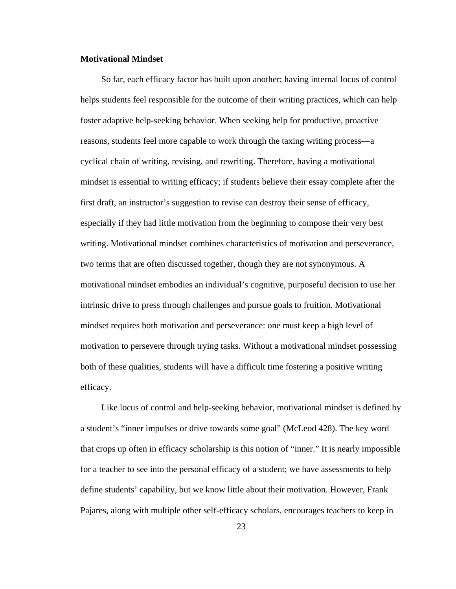#### **Motivational Mindset**

 So far, each efficacy factor has built upon another; having internal locus of control helps students feel responsible for the outcome of their writing practices, which can help foster adaptive help-seeking behavior. When seeking help for productive, proactive reasons, students feel more capable to work through the taxing writing process—a cyclical chain of writing, revising, and rewriting. Therefore, having a motivational mindset is essential to writing efficacy; if students believe their essay complete after the first draft, an instructor's suggestion to revise can destroy their sense of efficacy, especially if they had little motivation from the beginning to compose their very best writing. Motivational mindset combines characteristics of motivation and perseverance, two terms that are often discussed together, though they are not synonymous. A motivational mindset embodies an individual's cognitive, purposeful decision to use her intrinsic drive to press through challenges and pursue goals to fruition. Motivational mindset requires both motivation and perseverance: one must keep a high level of motivation to persevere through trying tasks. Without a motivational mindset possessing both of these qualities, students will have a difficult time fostering a positive writing efficacy.

 Like locus of control and help-seeking behavior, motivational mindset is defined by a student's "inner impulses or drive towards some goal" (McLeod 428). The key word that crops up often in efficacy scholarship is this notion of "inner." It is nearly impossible for a teacher to see into the personal efficacy of a student; we have assessments to help define students' capability, but we know little about their motivation. However, Frank Pajares, along with multiple other self-efficacy scholars, encourages teachers to keep in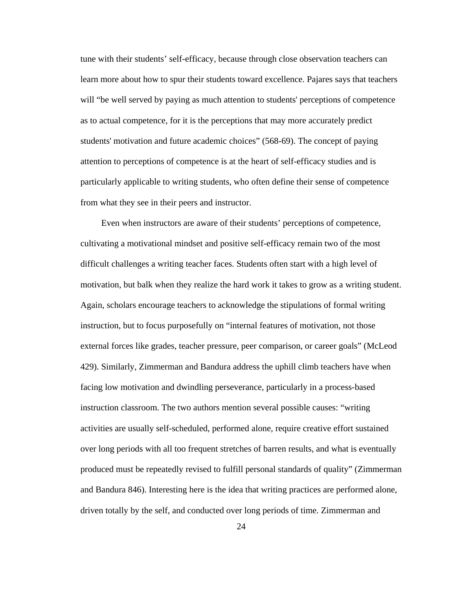tune with their students' self-efficacy, because through close observation teachers can learn more about how to spur their students toward excellence. Pajares says that teachers will "be well served by paying as much attention to students' perceptions of competence as to actual competence, for it is the perceptions that may more accurately predict students' motivation and future academic choices" (568-69). The concept of paying attention to perceptions of competence is at the heart of self-efficacy studies and is particularly applicable to writing students, who often define their sense of competence from what they see in their peers and instructor.

 Even when instructors are aware of their students' perceptions of competence, cultivating a motivational mindset and positive self-efficacy remain two of the most difficult challenges a writing teacher faces. Students often start with a high level of motivation, but balk when they realize the hard work it takes to grow as a writing student. Again, scholars encourage teachers to acknowledge the stipulations of formal writing instruction, but to focus purposefully on "internal features of motivation, not those external forces like grades, teacher pressure, peer comparison, or career goals" (McLeod 429). Similarly, Zimmerman and Bandura address the uphill climb teachers have when facing low motivation and dwindling perseverance, particularly in a process-based instruction classroom. The two authors mention several possible causes: "writing activities are usually self-scheduled, performed alone, require creative effort sustained over long periods with all too frequent stretches of barren results, and what is eventually produced must be repeatedly revised to fulfill personal standards of quality" (Zimmerman and Bandura 846). Interesting here is the idea that writing practices are performed alone, driven totally by the self, and conducted over long periods of time. Zimmerman and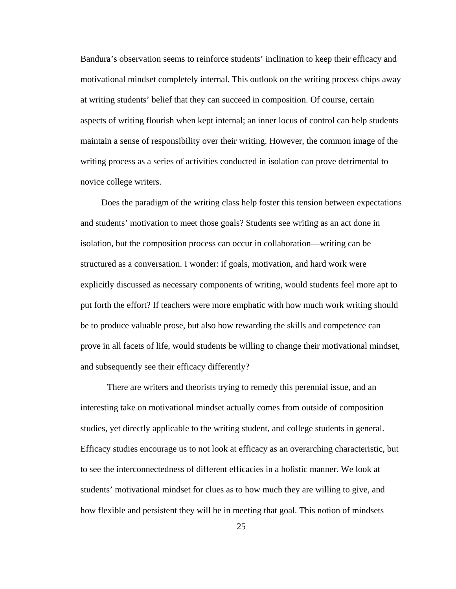Bandura's observation seems to reinforce students' inclination to keep their efficacy and motivational mindset completely internal. This outlook on the writing process chips away at writing students' belief that they can succeed in composition. Of course, certain aspects of writing flourish when kept internal; an inner locus of control can help students maintain a sense of responsibility over their writing. However, the common image of the writing process as a series of activities conducted in isolation can prove detrimental to novice college writers.

 Does the paradigm of the writing class help foster this tension between expectations and students' motivation to meet those goals? Students see writing as an act done in isolation, but the composition process can occur in collaboration—writing can be structured as a conversation. I wonder: if goals, motivation, and hard work were explicitly discussed as necessary components of writing, would students feel more apt to put forth the effort? If teachers were more emphatic with how much work writing should be to produce valuable prose, but also how rewarding the skills and competence can prove in all facets of life, would students be willing to change their motivational mindset, and subsequently see their efficacy differently?

There are writers and theorists trying to remedy this perennial issue, and an interesting take on motivational mindset actually comes from outside of composition studies, yet directly applicable to the writing student, and college students in general. Efficacy studies encourage us to not look at efficacy as an overarching characteristic, but to see the interconnectedness of different efficacies in a holistic manner. We look at students' motivational mindset for clues as to how much they are willing to give, and how flexible and persistent they will be in meeting that goal. This notion of mindsets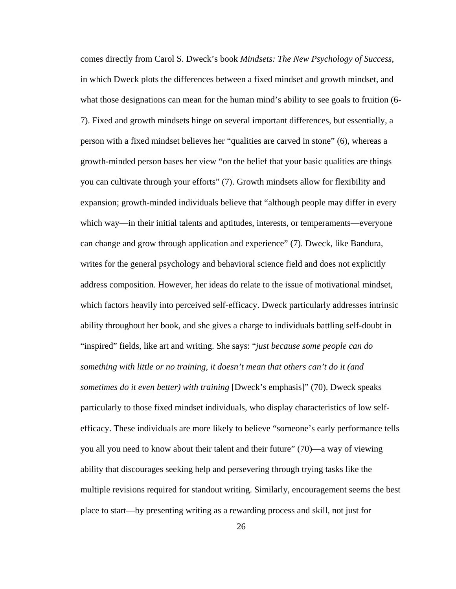comes directly from Carol S. Dweck's book *Mindsets: The New Psychology of Success*, in which Dweck plots the differences between a fixed mindset and growth mindset, and what those designations can mean for the human mind's ability to see goals to fruition (6- 7). Fixed and growth mindsets hinge on several important differences, but essentially, a person with a fixed mindset believes her "qualities are carved in stone" (6), whereas a growth-minded person bases her view "on the belief that your basic qualities are things you can cultivate through your efforts" (7). Growth mindsets allow for flexibility and expansion; growth-minded individuals believe that "although people may differ in every which way—in their initial talents and aptitudes, interests, or temperaments—everyone can change and grow through application and experience" (7). Dweck, like Bandura, writes for the general psychology and behavioral science field and does not explicitly address composition. However, her ideas do relate to the issue of motivational mindset, which factors heavily into perceived self-efficacy. Dweck particularly addresses intrinsic ability throughout her book, and she gives a charge to individuals battling self-doubt in "inspired" fields, like art and writing. She says: "*just because some people can do something with little or no training, it doesn't mean that others can't do it (and sometimes do it even better) with training* [Dweck's emphasis]" (70). Dweck speaks particularly to those fixed mindset individuals, who display characteristics of low selfefficacy. These individuals are more likely to believe "someone's early performance tells you all you need to know about their talent and their future" (70)—a way of viewing ability that discourages seeking help and persevering through trying tasks like the multiple revisions required for standout writing. Similarly, encouragement seems the best place to start—by presenting writing as a rewarding process and skill, not just for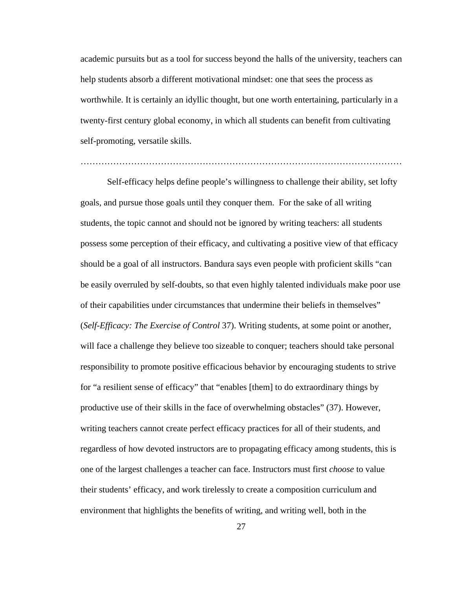academic pursuits but as a tool for success beyond the halls of the university, teachers can help students absorb a different motivational mindset: one that sees the process as worthwhile. It is certainly an idyllic thought, but one worth entertaining, particularly in a twenty-first century global economy, in which all students can benefit from cultivating self-promoting, versatile skills.

Self-efficacy helps define people's willingness to challenge their ability, set lofty goals, and pursue those goals until they conquer them. For the sake of all writing students, the topic cannot and should not be ignored by writing teachers: all students possess some perception of their efficacy, and cultivating a positive view of that efficacy should be a goal of all instructors. Bandura says even people with proficient skills "can be easily overruled by self-doubts, so that even highly talented individuals make poor use of their capabilities under circumstances that undermine their beliefs in themselves" (*Self-Efficacy: The Exercise of Control* 37). Writing students, at some point or another, will face a challenge they believe too sizeable to conquer; teachers should take personal responsibility to promote positive efficacious behavior by encouraging students to strive for "a resilient sense of efficacy" that "enables [them] to do extraordinary things by productive use of their skills in the face of overwhelming obstacles" (37). However, writing teachers cannot create perfect efficacy practices for all of their students, and regardless of how devoted instructors are to propagating efficacy among students, this is one of the largest challenges a teacher can face. Instructors must first *choose* to value their students' efficacy, and work tirelessly to create a composition curriculum and environment that highlights the benefits of writing, and writing well, both in the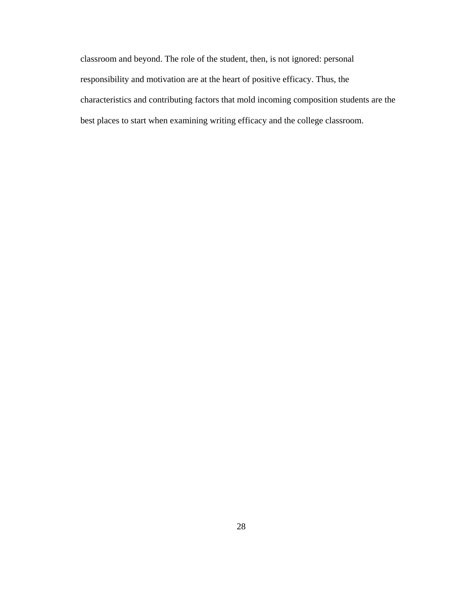classroom and beyond. The role of the student, then, is not ignored: personal responsibility and motivation are at the heart of positive efficacy. Thus, the characteristics and contributing factors that mold incoming composition students are the best places to start when examining writing efficacy and the college classroom.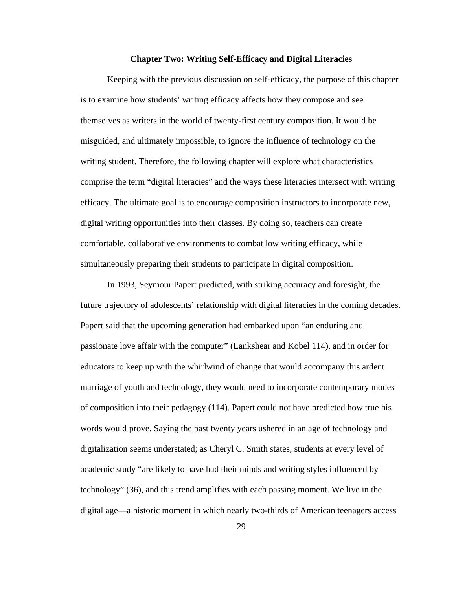#### **Chapter Two: Writing Self-Efficacy and Digital Literacies**

 Keeping with the previous discussion on self-efficacy, the purpose of this chapter is to examine how students' writing efficacy affects how they compose and see themselves as writers in the world of twenty-first century composition. It would be misguided, and ultimately impossible, to ignore the influence of technology on the writing student. Therefore, the following chapter will explore what characteristics comprise the term "digital literacies" and the ways these literacies intersect with writing efficacy. The ultimate goal is to encourage composition instructors to incorporate new, digital writing opportunities into their classes. By doing so, teachers can create comfortable, collaborative environments to combat low writing efficacy, while simultaneously preparing their students to participate in digital composition.

In 1993, Seymour Papert predicted, with striking accuracy and foresight, the future trajectory of adolescents' relationship with digital literacies in the coming decades. Papert said that the upcoming generation had embarked upon "an enduring and passionate love affair with the computer" (Lankshear and Kobel 114), and in order for educators to keep up with the whirlwind of change that would accompany this ardent marriage of youth and technology, they would need to incorporate contemporary modes of composition into their pedagogy (114). Papert could not have predicted how true his words would prove. Saying the past twenty years ushered in an age of technology and digitalization seems understated; as Cheryl C. Smith states, students at every level of academic study "are likely to have had their minds and writing styles influenced by technology" (36), and this trend amplifies with each passing moment. We live in the digital age—a historic moment in which nearly two-thirds of American teenagers access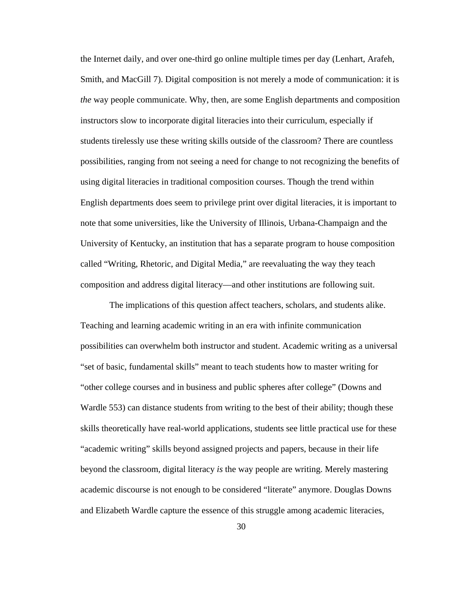the Internet daily, and over one-third go online multiple times per day (Lenhart, Arafeh, Smith, and MacGill 7). Digital composition is not merely a mode of communication: it is *the* way people communicate. Why, then, are some English departments and composition instructors slow to incorporate digital literacies into their curriculum, especially if students tirelessly use these writing skills outside of the classroom? There are countless possibilities, ranging from not seeing a need for change to not recognizing the benefits of using digital literacies in traditional composition courses. Though the trend within English departments does seem to privilege print over digital literacies, it is important to note that some universities, like the University of Illinois, Urbana-Champaign and the University of Kentucky, an institution that has a separate program to house composition called "Writing, Rhetoric, and Digital Media," are reevaluating the way they teach composition and address digital literacy—and other institutions are following suit.

 The implications of this question affect teachers, scholars, and students alike. Teaching and learning academic writing in an era with infinite communication possibilities can overwhelm both instructor and student. Academic writing as a universal "set of basic, fundamental skills" meant to teach students how to master writing for "other college courses and in business and public spheres after college" (Downs and Wardle 553) can distance students from writing to the best of their ability; though these skills theoretically have real-world applications, students see little practical use for these "academic writing" skills beyond assigned projects and papers, because in their life beyond the classroom, digital literacy *is* the way people are writing. Merely mastering academic discourse is not enough to be considered "literate" anymore. Douglas Downs and Elizabeth Wardle capture the essence of this struggle among academic literacies,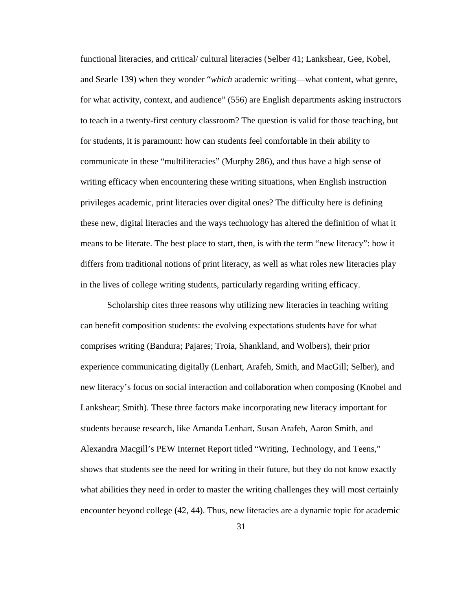functional literacies, and critical/ cultural literacies (Selber 41; Lankshear, Gee, Kobel, and Searle 139) when they wonder "*which* academic writing—what content, what genre, for what activity, context, and audience" (556) are English departments asking instructors to teach in a twenty-first century classroom? The question is valid for those teaching, but for students, it is paramount: how can students feel comfortable in their ability to communicate in these "multiliteracies" (Murphy 286), and thus have a high sense of writing efficacy when encountering these writing situations, when English instruction privileges academic, print literacies over digital ones? The difficulty here is defining these new, digital literacies and the ways technology has altered the definition of what it means to be literate. The best place to start, then, is with the term "new literacy": how it differs from traditional notions of print literacy, as well as what roles new literacies play in the lives of college writing students, particularly regarding writing efficacy.

Scholarship cites three reasons why utilizing new literacies in teaching writing can benefit composition students: the evolving expectations students have for what comprises writing (Bandura; Pajares; Troia, Shankland, and Wolbers), their prior experience communicating digitally (Lenhart, Arafeh, Smith, and MacGill; Selber), and new literacy's focus on social interaction and collaboration when composing (Knobel and Lankshear; Smith). These three factors make incorporating new literacy important for students because research, like Amanda Lenhart, Susan Arafeh, Aaron Smith, and Alexandra Macgill's PEW Internet Report titled "Writing, Technology, and Teens," shows that students see the need for writing in their future, but they do not know exactly what abilities they need in order to master the writing challenges they will most certainly encounter beyond college (42, 44). Thus, new literacies are a dynamic topic for academic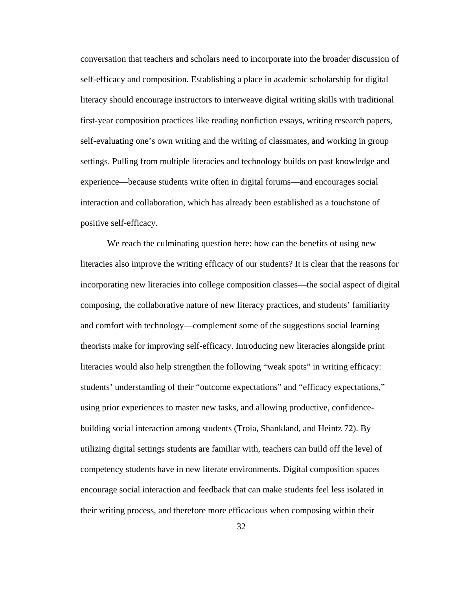conversation that teachers and scholars need to incorporate into the broader discussion of self-efficacy and composition. Establishing a place in academic scholarship for digital literacy should encourage instructors to interweave digital writing skills with traditional first-year composition practices like reading nonfiction essays, writing research papers, self-evaluating one's own writing and the writing of classmates, and working in group settings. Pulling from multiple literacies and technology builds on past knowledge and experience—because students write often in digital forums—and encourages social interaction and collaboration, which has already been established as a touchstone of positive self-efficacy.

We reach the culminating question here: how can the benefits of using new literacies also improve the writing efficacy of our students? It is clear that the reasons for incorporating new literacies into college composition classes—the social aspect of digital composing, the collaborative nature of new literacy practices, and students' familiarity and comfort with technology—complement some of the suggestions social learning theorists make for improving self-efficacy. Introducing new literacies alongside print literacies would also help strengthen the following "weak spots" in writing efficacy: students' understanding of their "outcome expectations" and "efficacy expectations," using prior experiences to master new tasks, and allowing productive, confidencebuilding social interaction among students (Troia, Shankland, and Heintz 72). By utilizing digital settings students are familiar with, teachers can build off the level of competency students have in new literate environments. Digital composition spaces encourage social interaction and feedback that can make students feel less isolated in their writing process, and therefore more efficacious when composing within their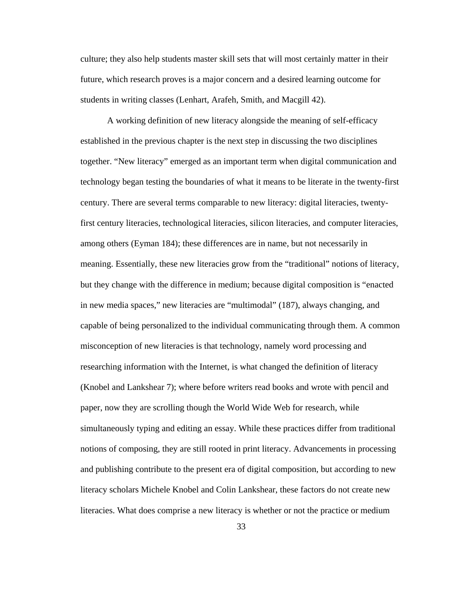culture; they also help students master skill sets that will most certainly matter in their future, which research proves is a major concern and a desired learning outcome for students in writing classes (Lenhart, Arafeh, Smith, and Macgill 42).

A working definition of new literacy alongside the meaning of self-efficacy established in the previous chapter is the next step in discussing the two disciplines together. "New literacy" emerged as an important term when digital communication and technology began testing the boundaries of what it means to be literate in the twenty-first century. There are several terms comparable to new literacy: digital literacies, twentyfirst century literacies, technological literacies, silicon literacies, and computer literacies, among others (Eyman 184); these differences are in name, but not necessarily in meaning. Essentially, these new literacies grow from the "traditional" notions of literacy, but they change with the difference in medium; because digital composition is "enacted in new media spaces," new literacies are "multimodal" (187), always changing, and capable of being personalized to the individual communicating through them. A common misconception of new literacies is that technology, namely word processing and researching information with the Internet, is what changed the definition of literacy (Knobel and Lankshear 7); where before writers read books and wrote with pencil and paper, now they are scrolling though the World Wide Web for research, while simultaneously typing and editing an essay. While these practices differ from traditional notions of composing, they are still rooted in print literacy. Advancements in processing and publishing contribute to the present era of digital composition, but according to new literacy scholars Michele Knobel and Colin Lankshear, these factors do not create new literacies. What does comprise a new literacy is whether or not the practice or medium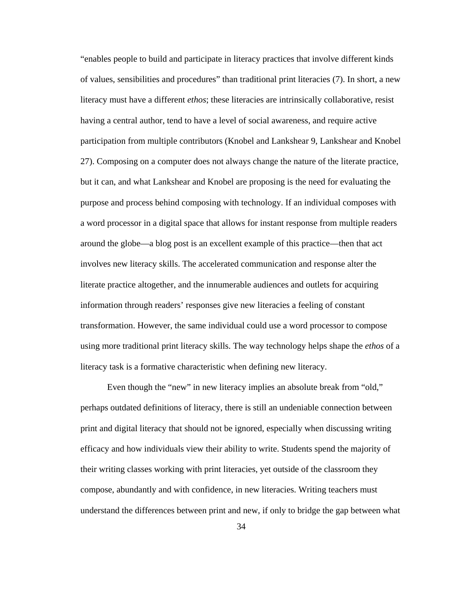"enables people to build and participate in literacy practices that involve different kinds of values, sensibilities and procedures" than traditional print literacies (7). In short, a new literacy must have a different *ethos*; these literacies are intrinsically collaborative, resist having a central author, tend to have a level of social awareness, and require active participation from multiple contributors (Knobel and Lankshear 9, Lankshear and Knobel 27). Composing on a computer does not always change the nature of the literate practice, but it can, and what Lankshear and Knobel are proposing is the need for evaluating the purpose and process behind composing with technology. If an individual composes with a word processor in a digital space that allows for instant response from multiple readers around the globe—a blog post is an excellent example of this practice—then that act involves new literacy skills. The accelerated communication and response alter the literate practice altogether, and the innumerable audiences and outlets for acquiring information through readers' responses give new literacies a feeling of constant transformation. However, the same individual could use a word processor to compose using more traditional print literacy skills. The way technology helps shape the *ethos* of a literacy task is a formative characteristic when defining new literacy.

Even though the "new" in new literacy implies an absolute break from "old," perhaps outdated definitions of literacy, there is still an undeniable connection between print and digital literacy that should not be ignored, especially when discussing writing efficacy and how individuals view their ability to write. Students spend the majority of their writing classes working with print literacies, yet outside of the classroom they compose, abundantly and with confidence, in new literacies. Writing teachers must understand the differences between print and new, if only to bridge the gap between what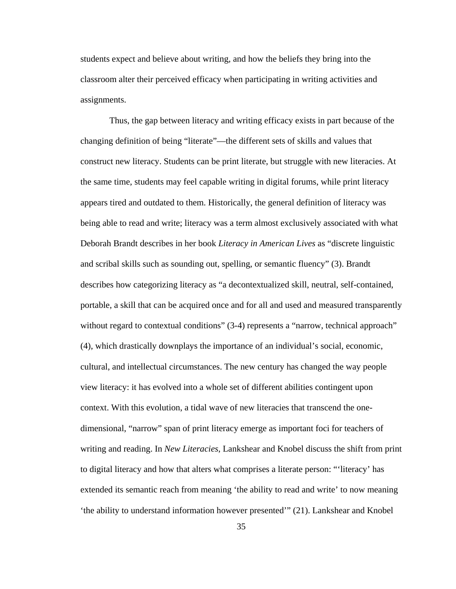students expect and believe about writing, and how the beliefs they bring into the classroom alter their perceived efficacy when participating in writing activities and assignments.

 Thus, the gap between literacy and writing efficacy exists in part because of the changing definition of being "literate"—the different sets of skills and values that construct new literacy. Students can be print literate, but struggle with new literacies. At the same time, students may feel capable writing in digital forums, while print literacy appears tired and outdated to them. Historically, the general definition of literacy was being able to read and write; literacy was a term almost exclusively associated with what Deborah Brandt describes in her book *Literacy in American Lives* as "discrete linguistic and scribal skills such as sounding out, spelling, or semantic fluency" (3). Brandt describes how categorizing literacy as "a decontextualized skill, neutral, self-contained, portable, a skill that can be acquired once and for all and used and measured transparently without regard to contextual conditions" (3-4) represents a "narrow, technical approach" (4), which drastically downplays the importance of an individual's social, economic, cultural, and intellectual circumstances. The new century has changed the way people view literacy: it has evolved into a whole set of different abilities contingent upon context. With this evolution, a tidal wave of new literacies that transcend the onedimensional, "narrow" span of print literacy emerge as important foci for teachers of writing and reading. In *New Literacies*, Lankshear and Knobel discuss the shift from print to digital literacy and how that alters what comprises a literate person: "'literacy' has extended its semantic reach from meaning 'the ability to read and write' to now meaning 'the ability to understand information however presented'" (21). Lankshear and Knobel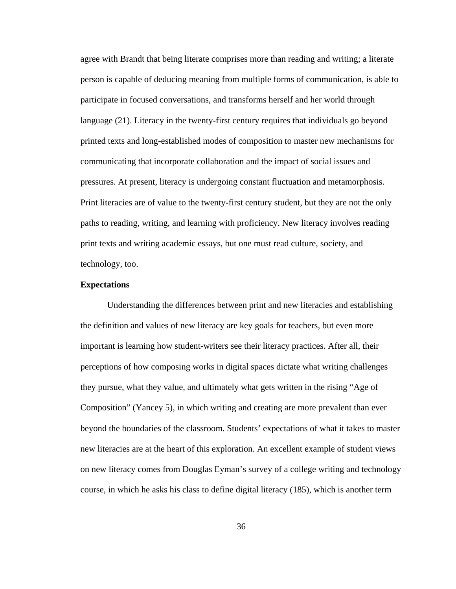agree with Brandt that being literate comprises more than reading and writing; a literate person is capable of deducing meaning from multiple forms of communication, is able to participate in focused conversations, and transforms herself and her world through language (21). Literacy in the twenty-first century requires that individuals go beyond printed texts and long-established modes of composition to master new mechanisms for communicating that incorporate collaboration and the impact of social issues and pressures. At present, literacy is undergoing constant fluctuation and metamorphosis. Print literacies are of value to the twenty-first century student, but they are not the only paths to reading, writing, and learning with proficiency. New literacy involves reading print texts and writing academic essays, but one must read culture, society, and technology, too.

## **Expectations**

Understanding the differences between print and new literacies and establishing the definition and values of new literacy are key goals for teachers, but even more important is learning how student-writers see their literacy practices. After all, their perceptions of how composing works in digital spaces dictate what writing challenges they pursue, what they value, and ultimately what gets written in the rising "Age of Composition" (Yancey 5), in which writing and creating are more prevalent than ever beyond the boundaries of the classroom. Students' expectations of what it takes to master new literacies are at the heart of this exploration. An excellent example of student views on new literacy comes from Douglas Eyman's survey of a college writing and technology course, in which he asks his class to define digital literacy (185), which is another term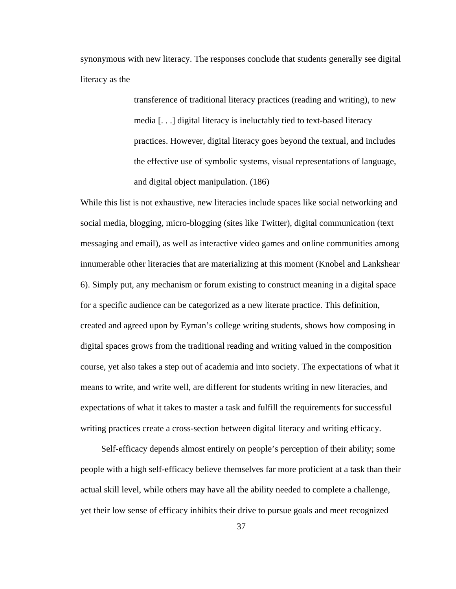synonymous with new literacy. The responses conclude that students generally see digital literacy as the

> transference of traditional literacy practices (reading and writing), to new media [. . .] digital literacy is ineluctably tied to text-based literacy practices. However, digital literacy goes beyond the textual, and includes the effective use of symbolic systems, visual representations of language, and digital object manipulation. (186)

While this list is not exhaustive, new literacies include spaces like social networking and social media, blogging, micro-blogging (sites like Twitter), digital communication (text messaging and email), as well as interactive video games and online communities among innumerable other literacies that are materializing at this moment (Knobel and Lankshear 6). Simply put, any mechanism or forum existing to construct meaning in a digital space for a specific audience can be categorized as a new literate practice. This definition, created and agreed upon by Eyman's college writing students, shows how composing in digital spaces grows from the traditional reading and writing valued in the composition course, yet also takes a step out of academia and into society. The expectations of what it means to write, and write well, are different for students writing in new literacies, and expectations of what it takes to master a task and fulfill the requirements for successful writing practices create a cross-section between digital literacy and writing efficacy.

 Self-efficacy depends almost entirely on people's perception of their ability; some people with a high self-efficacy believe themselves far more proficient at a task than their actual skill level, while others may have all the ability needed to complete a challenge, yet their low sense of efficacy inhibits their drive to pursue goals and meet recognized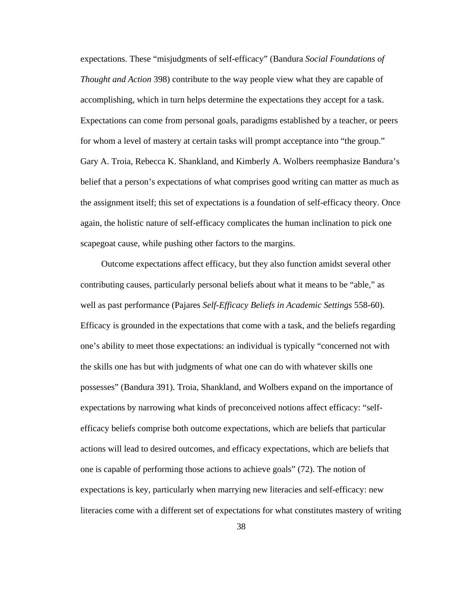expectations. These "misjudgments of self-efficacy" (Bandura *Social Foundations of Thought and Action* 398) contribute to the way people view what they are capable of accomplishing, which in turn helps determine the expectations they accept for a task. Expectations can come from personal goals, paradigms established by a teacher, or peers for whom a level of mastery at certain tasks will prompt acceptance into "the group." Gary A. Troia, Rebecca K. Shankland, and Kimberly A. Wolbers reemphasize Bandura's belief that a person's expectations of what comprises good writing can matter as much as the assignment itself; this set of expectations is a foundation of self-efficacy theory. Once again, the holistic nature of self-efficacy complicates the human inclination to pick one scapegoat cause, while pushing other factors to the margins.

 Outcome expectations affect efficacy, but they also function amidst several other contributing causes, particularly personal beliefs about what it means to be "able," as well as past performance (Pajares *Self-Efficacy Beliefs in Academic Settings* 558-60). Efficacy is grounded in the expectations that come with a task, and the beliefs regarding one's ability to meet those expectations: an individual is typically "concerned not with the skills one has but with judgments of what one can do with whatever skills one possesses" (Bandura 391). Troia, Shankland, and Wolbers expand on the importance of expectations by narrowing what kinds of preconceived notions affect efficacy: "selfefficacy beliefs comprise both outcome expectations, which are beliefs that particular actions will lead to desired outcomes, and efficacy expectations, which are beliefs that one is capable of performing those actions to achieve goals" (72). The notion of expectations is key, particularly when marrying new literacies and self-efficacy: new literacies come with a different set of expectations for what constitutes mastery of writing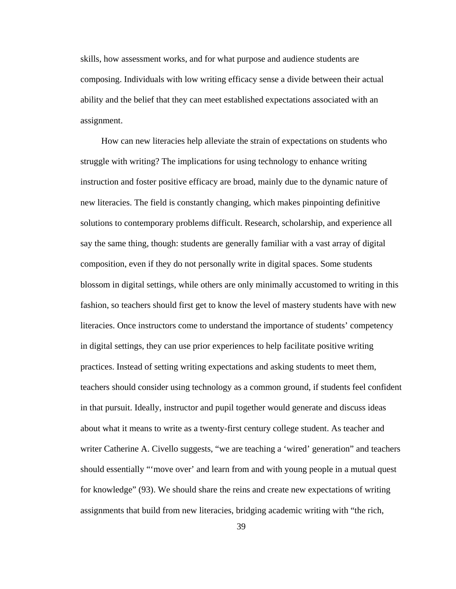skills, how assessment works, and for what purpose and audience students are composing. Individuals with low writing efficacy sense a divide between their actual ability and the belief that they can meet established expectations associated with an assignment.

 How can new literacies help alleviate the strain of expectations on students who struggle with writing? The implications for using technology to enhance writing instruction and foster positive efficacy are broad, mainly due to the dynamic nature of new literacies. The field is constantly changing, which makes pinpointing definitive solutions to contemporary problems difficult. Research, scholarship, and experience all say the same thing, though: students are generally familiar with a vast array of digital composition, even if they do not personally write in digital spaces. Some students blossom in digital settings, while others are only minimally accustomed to writing in this fashion, so teachers should first get to know the level of mastery students have with new literacies. Once instructors come to understand the importance of students' competency in digital settings, they can use prior experiences to help facilitate positive writing practices. Instead of setting writing expectations and asking students to meet them, teachers should consider using technology as a common ground, if students feel confident in that pursuit. Ideally, instructor and pupil together would generate and discuss ideas about what it means to write as a twenty-first century college student. As teacher and writer Catherine A. Civello suggests, "we are teaching a 'wired' generation" and teachers should essentially "'move over' and learn from and with young people in a mutual quest for knowledge" (93). We should share the reins and create new expectations of writing assignments that build from new literacies, bridging academic writing with "the rich,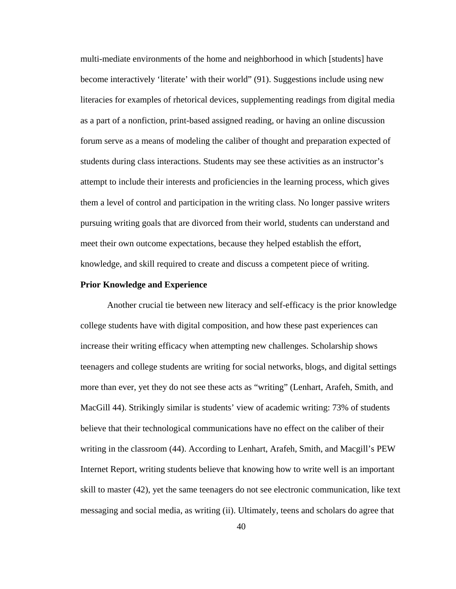multi-mediate environments of the home and neighborhood in which [students] have become interactively 'literate' with their world" (91). Suggestions include using new literacies for examples of rhetorical devices, supplementing readings from digital media as a part of a nonfiction, print-based assigned reading, or having an online discussion forum serve as a means of modeling the caliber of thought and preparation expected of students during class interactions. Students may see these activities as an instructor's attempt to include their interests and proficiencies in the learning process, which gives them a level of control and participation in the writing class. No longer passive writers pursuing writing goals that are divorced from their world, students can understand and meet their own outcome expectations, because they helped establish the effort, knowledge, and skill required to create and discuss a competent piece of writing.

#### **Prior Knowledge and Experience**

 Another crucial tie between new literacy and self-efficacy is the prior knowledge college students have with digital composition, and how these past experiences can increase their writing efficacy when attempting new challenges. Scholarship shows teenagers and college students are writing for social networks, blogs, and digital settings more than ever, yet they do not see these acts as "writing" (Lenhart, Arafeh, Smith, and MacGill 44). Strikingly similar is students' view of academic writing: 73% of students believe that their technological communications have no effect on the caliber of their writing in the classroom (44). According to Lenhart, Arafeh, Smith, and Macgill's PEW Internet Report, writing students believe that knowing how to write well is an important skill to master (42), yet the same teenagers do not see electronic communication, like text messaging and social media, as writing (ii). Ultimately, teens and scholars do agree that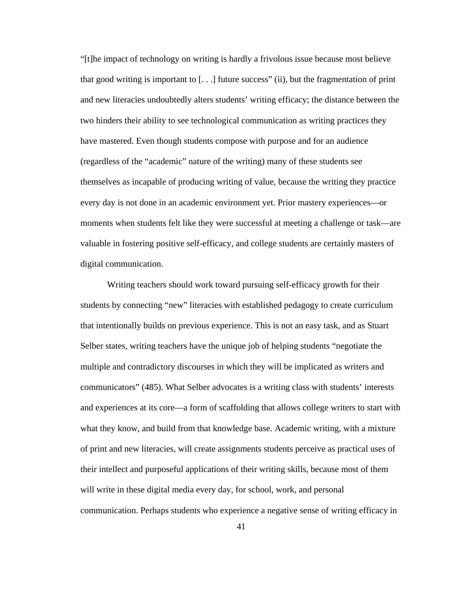"[t]he impact of technology on writing is hardly a frivolous issue because most believe that good writing is important to  $[...]$  future success" (ii), but the fragmentation of print and new literacies undoubtedly alters students' writing efficacy; the distance between the two hinders their ability to see technological communication as writing practices they have mastered. Even though students compose with purpose and for an audience (regardless of the "academic" nature of the writing) many of these students see themselves as incapable of producing writing of value, because the writing they practice every day is not done in an academic environment yet. Prior mastery experiences—or moments when students felt like they were successful at meeting a challenge or task—are valuable in fostering positive self-efficacy, and college students are certainly masters of digital communication.

Writing teachers should work toward pursuing self-efficacy growth for their students by connecting "new" literacies with established pedagogy to create curriculum that intentionally builds on previous experience. This is not an easy task, and as Stuart Selber states, writing teachers have the unique job of helping students "negotiate the multiple and contradictory discourses in which they will be implicated as writers and communicators" (485). What Selber advocates is a writing class with students' interests and experiences at its core—a form of scaffolding that allows college writers to start with what they know, and build from that knowledge base. Academic writing, with a mixture of print and new literacies, will create assignments students perceive as practical uses of their intellect and purposeful applications of their writing skills, because most of them will write in these digital media every day, for school, work, and personal communication. Perhaps students who experience a negative sense of writing efficacy in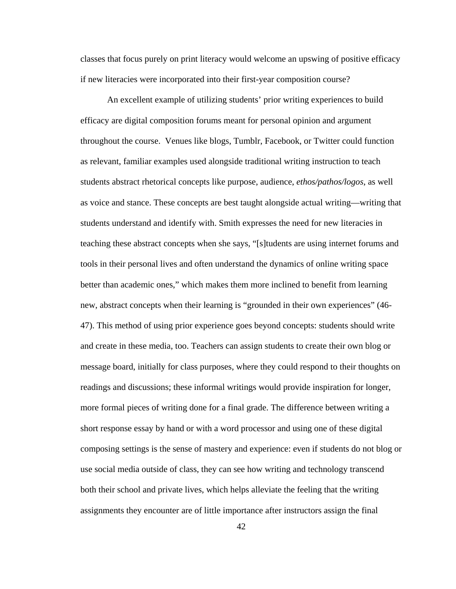classes that focus purely on print literacy would welcome an upswing of positive efficacy if new literacies were incorporated into their first-year composition course?

An excellent example of utilizing students' prior writing experiences to build efficacy are digital composition forums meant for personal opinion and argument throughout the course. Venues like blogs, Tumblr, Facebook, or Twitter could function as relevant, familiar examples used alongside traditional writing instruction to teach students abstract rhetorical concepts like purpose, audience, *ethos/pathos/logos*, as well as voice and stance. These concepts are best taught alongside actual writing—writing that students understand and identify with. Smith expresses the need for new literacies in teaching these abstract concepts when she says, "[s]tudents are using internet forums and tools in their personal lives and often understand the dynamics of online writing space better than academic ones," which makes them more inclined to benefit from learning new, abstract concepts when their learning is "grounded in their own experiences" (46- 47). This method of using prior experience goes beyond concepts: students should write and create in these media, too. Teachers can assign students to create their own blog or message board, initially for class purposes, where they could respond to their thoughts on readings and discussions; these informal writings would provide inspiration for longer, more formal pieces of writing done for a final grade. The difference between writing a short response essay by hand or with a word processor and using one of these digital composing settings is the sense of mastery and experience: even if students do not blog or use social media outside of class, they can see how writing and technology transcend both their school and private lives, which helps alleviate the feeling that the writing assignments they encounter are of little importance after instructors assign the final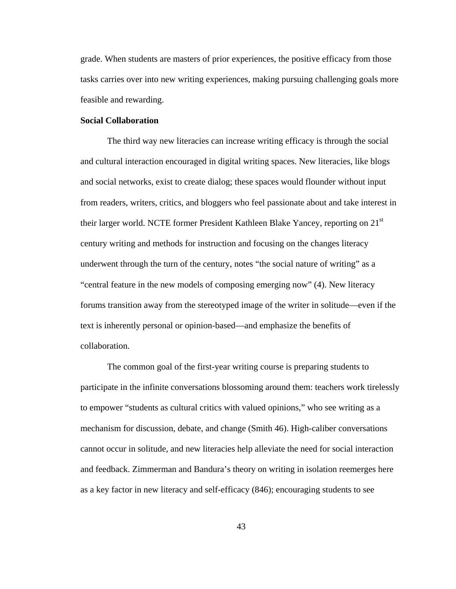grade. When students are masters of prior experiences, the positive efficacy from those tasks carries over into new writing experiences, making pursuing challenging goals more feasible and rewarding.

## **Social Collaboration**

The third way new literacies can increase writing efficacy is through the social and cultural interaction encouraged in digital writing spaces. New literacies, like blogs and social networks, exist to create dialog; these spaces would flounder without input from readers, writers, critics, and bloggers who feel passionate about and take interest in their larger world. NCTE former President Kathleen Blake Yancey, reporting on 21<sup>st</sup> century writing and methods for instruction and focusing on the changes literacy underwent through the turn of the century, notes "the social nature of writing" as a "central feature in the new models of composing emerging now" (4). New literacy forums transition away from the stereotyped image of the writer in solitude—even if the text is inherently personal or opinion-based—and emphasize the benefits of collaboration.

The common goal of the first-year writing course is preparing students to participate in the infinite conversations blossoming around them: teachers work tirelessly to empower "students as cultural critics with valued opinions," who see writing as a mechanism for discussion, debate, and change (Smith 46). High-caliber conversations cannot occur in solitude, and new literacies help alleviate the need for social interaction and feedback. Zimmerman and Bandura's theory on writing in isolation reemerges here as a key factor in new literacy and self-efficacy (846); encouraging students to see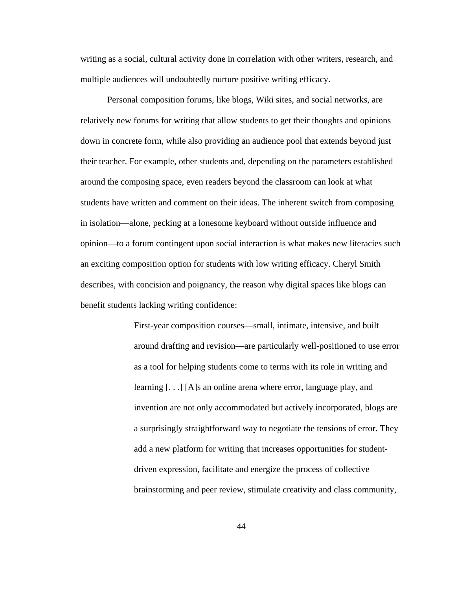writing as a social, cultural activity done in correlation with other writers, research, and multiple audiences will undoubtedly nurture positive writing efficacy.

Personal composition forums, like blogs, Wiki sites, and social networks, are relatively new forums for writing that allow students to get their thoughts and opinions down in concrete form, while also providing an audience pool that extends beyond just their teacher. For example, other students and, depending on the parameters established around the composing space, even readers beyond the classroom can look at what students have written and comment on their ideas. The inherent switch from composing in isolation—alone, pecking at a lonesome keyboard without outside influence and opinion—to a forum contingent upon social interaction is what makes new literacies such an exciting composition option for students with low writing efficacy. Cheryl Smith describes, with concision and poignancy, the reason why digital spaces like blogs can benefit students lacking writing confidence:

> First-year composition courses—small, intimate, intensive, and built around drafting and revision—are particularly well-positioned to use error as a tool for helping students come to terms with its role in writing and learning [. . .] [A]s an online arena where error, language play, and invention are not only accommodated but actively incorporated, blogs are a surprisingly straightforward way to negotiate the tensions of error. They add a new platform for writing that increases opportunities for studentdriven expression, facilitate and energize the process of collective brainstorming and peer review, stimulate creativity and class community,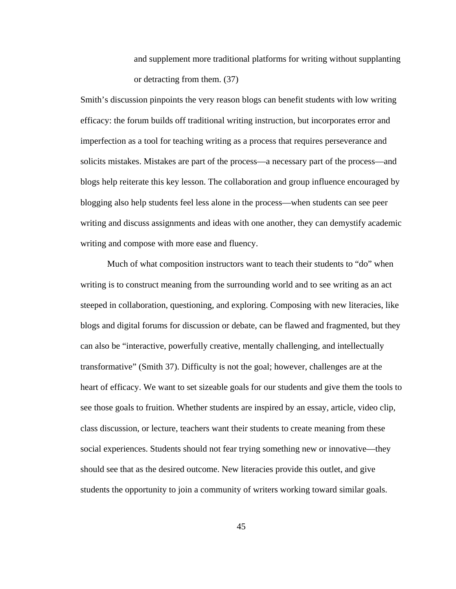and supplement more traditional platforms for writing without supplanting or detracting from them. (37)

Smith's discussion pinpoints the very reason blogs can benefit students with low writing efficacy: the forum builds off traditional writing instruction, but incorporates error and imperfection as a tool for teaching writing as a process that requires perseverance and solicits mistakes. Mistakes are part of the process—a necessary part of the process—and blogs help reiterate this key lesson. The collaboration and group influence encouraged by blogging also help students feel less alone in the process—when students can see peer writing and discuss assignments and ideas with one another, they can demystify academic writing and compose with more ease and fluency.

Much of what composition instructors want to teach their students to "do" when writing is to construct meaning from the surrounding world and to see writing as an act steeped in collaboration, questioning, and exploring. Composing with new literacies, like blogs and digital forums for discussion or debate, can be flawed and fragmented, but they can also be "interactive, powerfully creative, mentally challenging, and intellectually transformative" (Smith 37). Difficulty is not the goal; however, challenges are at the heart of efficacy. We want to set sizeable goals for our students and give them the tools to see those goals to fruition. Whether students are inspired by an essay, article, video clip, class discussion, or lecture, teachers want their students to create meaning from these social experiences. Students should not fear trying something new or innovative—they should see that as the desired outcome. New literacies provide this outlet, and give students the opportunity to join a community of writers working toward similar goals.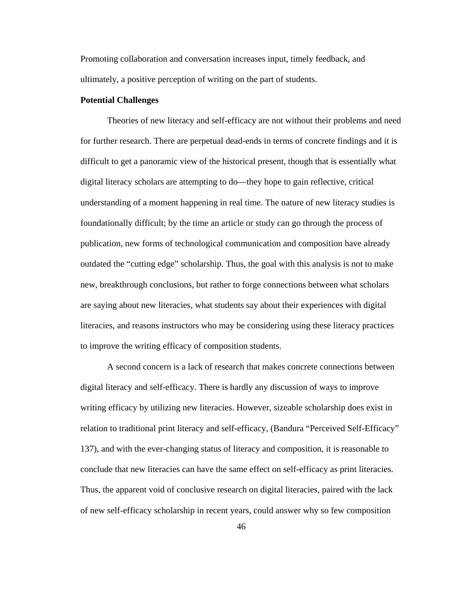Promoting collaboration and conversation increases input, timely feedback, and ultimately, a positive perception of writing on the part of students.

# **Potential Challenges**

Theories of new literacy and self-efficacy are not without their problems and need for further research. There are perpetual dead-ends in terms of concrete findings and it is difficult to get a panoramic view of the historical present, though that is essentially what digital literacy scholars are attempting to do—they hope to gain reflective, critical understanding of a moment happening in real time. The nature of new literacy studies is foundationally difficult; by the time an article or study can go through the process of publication, new forms of technological communication and composition have already outdated the "cutting edge" scholarship. Thus, the goal with this analysis is not to make new, breakthrough conclusions, but rather to forge connections between what scholars are saying about new literacies, what students say about their experiences with digital literacies, and reasons instructors who may be considering using these literacy practices to improve the writing efficacy of composition students.

A second concern is a lack of research that makes concrete connections between digital literacy and self-efficacy. There is hardly any discussion of ways to improve writing efficacy by utilizing new literacies. However, sizeable scholarship does exist in relation to traditional print literacy and self-efficacy, (Bandura "Perceived Self-Efficacy" 137), and with the ever-changing status of literacy and composition, it is reasonable to conclude that new literacies can have the same effect on self-efficacy as print literacies. Thus, the apparent void of conclusive research on digital literacies, paired with the lack of new self-efficacy scholarship in recent years, could answer why so few composition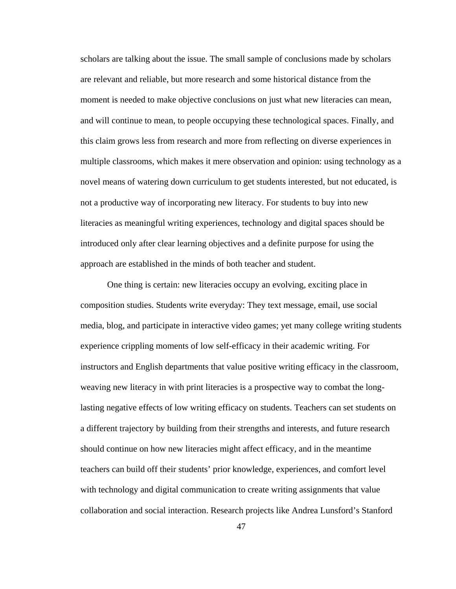scholars are talking about the issue. The small sample of conclusions made by scholars are relevant and reliable, but more research and some historical distance from the moment is needed to make objective conclusions on just what new literacies can mean, and will continue to mean, to people occupying these technological spaces. Finally, and this claim grows less from research and more from reflecting on diverse experiences in multiple classrooms, which makes it mere observation and opinion: using technology as a novel means of watering down curriculum to get students interested, but not educated, is not a productive way of incorporating new literacy. For students to buy into new literacies as meaningful writing experiences, technology and digital spaces should be introduced only after clear learning objectives and a definite purpose for using the approach are established in the minds of both teacher and student.

One thing is certain: new literacies occupy an evolving, exciting place in composition studies. Students write everyday: They text message, email, use social media, blog, and participate in interactive video games; yet many college writing students experience crippling moments of low self-efficacy in their academic writing. For instructors and English departments that value positive writing efficacy in the classroom, weaving new literacy in with print literacies is a prospective way to combat the longlasting negative effects of low writing efficacy on students. Teachers can set students on a different trajectory by building from their strengths and interests, and future research should continue on how new literacies might affect efficacy, and in the meantime teachers can build off their students' prior knowledge, experiences, and comfort level with technology and digital communication to create writing assignments that value collaboration and social interaction. Research projects like Andrea Lunsford's Stanford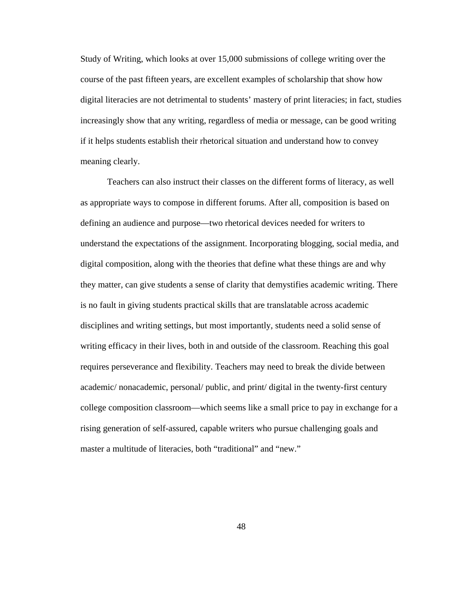Study of Writing, which looks at over 15,000 submissions of college writing over the course of the past fifteen years, are excellent examples of scholarship that show how digital literacies are not detrimental to students' mastery of print literacies; in fact, studies increasingly show that any writing, regardless of media or message, can be good writing if it helps students establish their rhetorical situation and understand how to convey meaning clearly.

Teachers can also instruct their classes on the different forms of literacy, as well as appropriate ways to compose in different forums. After all, composition is based on defining an audience and purpose—two rhetorical devices needed for writers to understand the expectations of the assignment. Incorporating blogging, social media, and digital composition, along with the theories that define what these things are and why they matter, can give students a sense of clarity that demystifies academic writing. There is no fault in giving students practical skills that are translatable across academic disciplines and writing settings, but most importantly, students need a solid sense of writing efficacy in their lives, both in and outside of the classroom. Reaching this goal requires perseverance and flexibility. Teachers may need to break the divide between academic/ nonacademic, personal/ public, and print/ digital in the twenty-first century college composition classroom—which seems like a small price to pay in exchange for a rising generation of self-assured, capable writers who pursue challenging goals and master a multitude of literacies, both "traditional" and "new."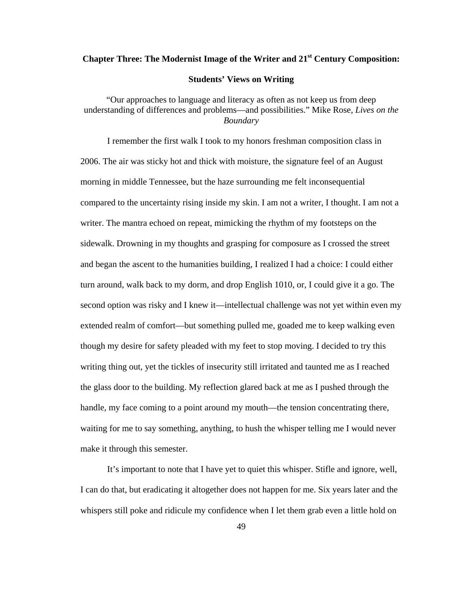# **Chapter Three: The Modernist Image of the Writer and 21st Century Composition: Students' Views on Writing**

"Our approaches to language and literacy as often as not keep us from deep understanding of differences and problems—and possibilities." Mike Rose, *Lives on the Boundary* 

I remember the first walk I took to my honors freshman composition class in 2006. The air was sticky hot and thick with moisture, the signature feel of an August morning in middle Tennessee, but the haze surrounding me felt inconsequential compared to the uncertainty rising inside my skin. I am not a writer, I thought. I am not a writer. The mantra echoed on repeat, mimicking the rhythm of my footsteps on the sidewalk. Drowning in my thoughts and grasping for composure as I crossed the street and began the ascent to the humanities building, I realized I had a choice: I could either turn around, walk back to my dorm, and drop English 1010, or, I could give it a go. The second option was risky and I knew it—intellectual challenge was not yet within even my extended realm of comfort—but something pulled me, goaded me to keep walking even though my desire for safety pleaded with my feet to stop moving. I decided to try this writing thing out, yet the tickles of insecurity still irritated and taunted me as I reached the glass door to the building. My reflection glared back at me as I pushed through the handle, my face coming to a point around my mouth—the tension concentrating there, waiting for me to say something, anything, to hush the whisper telling me I would never make it through this semester.

It's important to note that I have yet to quiet this whisper. Stifle and ignore, well, I can do that, but eradicating it altogether does not happen for me. Six years later and the whispers still poke and ridicule my confidence when I let them grab even a little hold on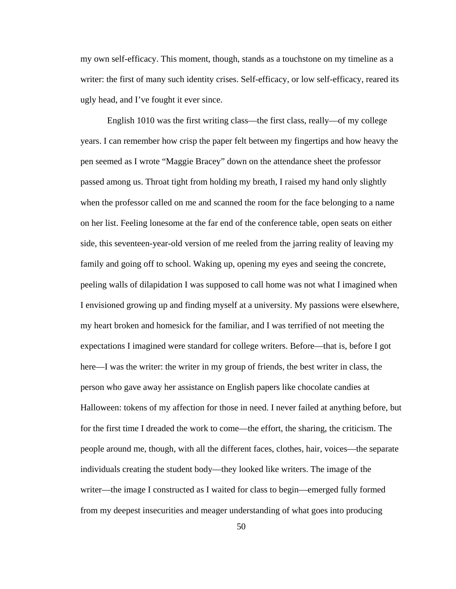my own self-efficacy. This moment, though, stands as a touchstone on my timeline as a writer: the first of many such identity crises. Self-efficacy, or low self-efficacy, reared its ugly head, and I've fought it ever since.

English 1010 was the first writing class—the first class, really—of my college years. I can remember how crisp the paper felt between my fingertips and how heavy the pen seemed as I wrote "Maggie Bracey" down on the attendance sheet the professor passed among us. Throat tight from holding my breath, I raised my hand only slightly when the professor called on me and scanned the room for the face belonging to a name on her list. Feeling lonesome at the far end of the conference table, open seats on either side, this seventeen-year-old version of me reeled from the jarring reality of leaving my family and going off to school. Waking up, opening my eyes and seeing the concrete, peeling walls of dilapidation I was supposed to call home was not what I imagined when I envisioned growing up and finding myself at a university. My passions were elsewhere, my heart broken and homesick for the familiar, and I was terrified of not meeting the expectations I imagined were standard for college writers. Before—that is, before I got here—I was the writer: the writer in my group of friends, the best writer in class, the person who gave away her assistance on English papers like chocolate candies at Halloween: tokens of my affection for those in need. I never failed at anything before, but for the first time I dreaded the work to come—the effort, the sharing, the criticism. The people around me, though, with all the different faces, clothes, hair, voices—the separate individuals creating the student body—they looked like writers. The image of the writer—the image I constructed as I waited for class to begin—emerged fully formed from my deepest insecurities and meager understanding of what goes into producing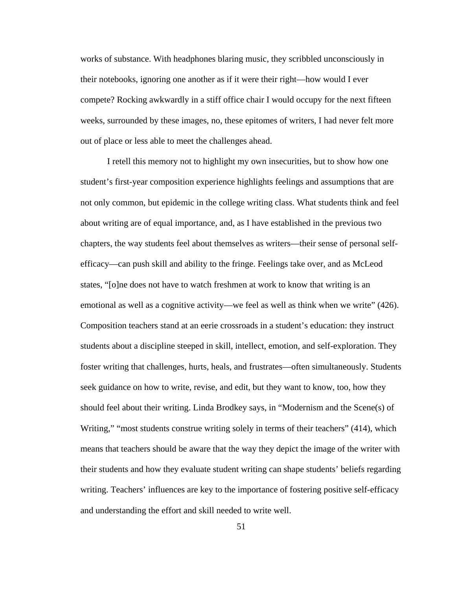works of substance. With headphones blaring music, they scribbled unconsciously in their notebooks, ignoring one another as if it were their right—how would I ever compete? Rocking awkwardly in a stiff office chair I would occupy for the next fifteen weeks, surrounded by these images, no, these epitomes of writers, I had never felt more out of place or less able to meet the challenges ahead.

I retell this memory not to highlight my own insecurities, but to show how one student's first-year composition experience highlights feelings and assumptions that are not only common, but epidemic in the college writing class. What students think and feel about writing are of equal importance, and, as I have established in the previous two chapters, the way students feel about themselves as writers—their sense of personal selfefficacy—can push skill and ability to the fringe. Feelings take over, and as McLeod states, "[o]ne does not have to watch freshmen at work to know that writing is an emotional as well as a cognitive activity—we feel as well as think when we write" (426). Composition teachers stand at an eerie crossroads in a student's education: they instruct students about a discipline steeped in skill, intellect, emotion, and self-exploration. They foster writing that challenges, hurts, heals, and frustrates—often simultaneously. Students seek guidance on how to write, revise, and edit, but they want to know, too, how they should feel about their writing. Linda Brodkey says, in "Modernism and the Scene(s) of Writing," "most students construe writing solely in terms of their teachers" (414), which means that teachers should be aware that the way they depict the image of the writer with their students and how they evaluate student writing can shape students' beliefs regarding writing. Teachers' influences are key to the importance of fostering positive self-efficacy and understanding the effort and skill needed to write well.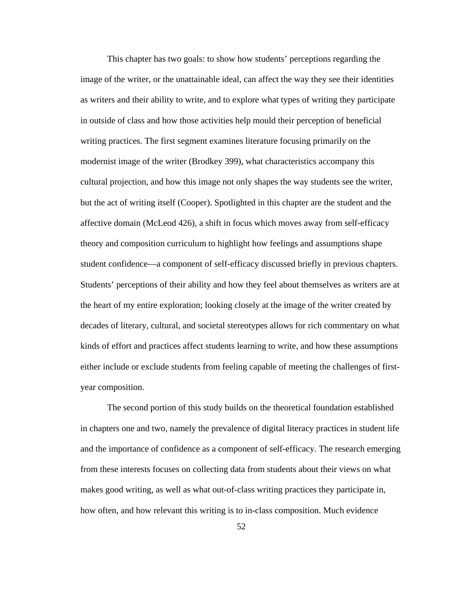This chapter has two goals: to show how students' perceptions regarding the image of the writer, or the unattainable ideal, can affect the way they see their identities as writers and their ability to write, and to explore what types of writing they participate in outside of class and how those activities help mould their perception of beneficial writing practices. The first segment examines literature focusing primarily on the modernist image of the writer (Brodkey 399), what characteristics accompany this cultural projection, and how this image not only shapes the way students see the writer, but the act of writing itself (Cooper). Spotlighted in this chapter are the student and the affective domain (McLeod 426), a shift in focus which moves away from self-efficacy theory and composition curriculum to highlight how feelings and assumptions shape student confidence—a component of self-efficacy discussed briefly in previous chapters. Students' perceptions of their ability and how they feel about themselves as writers are at the heart of my entire exploration; looking closely at the image of the writer created by decades of literary, cultural, and societal stereotypes allows for rich commentary on what kinds of effort and practices affect students learning to write, and how these assumptions either include or exclude students from feeling capable of meeting the challenges of firstyear composition.

The second portion of this study builds on the theoretical foundation established in chapters one and two, namely the prevalence of digital literacy practices in student life and the importance of confidence as a component of self-efficacy. The research emerging from these interests focuses on collecting data from students about their views on what makes good writing, as well as what out-of-class writing practices they participate in, how often, and how relevant this writing is to in-class composition. Much evidence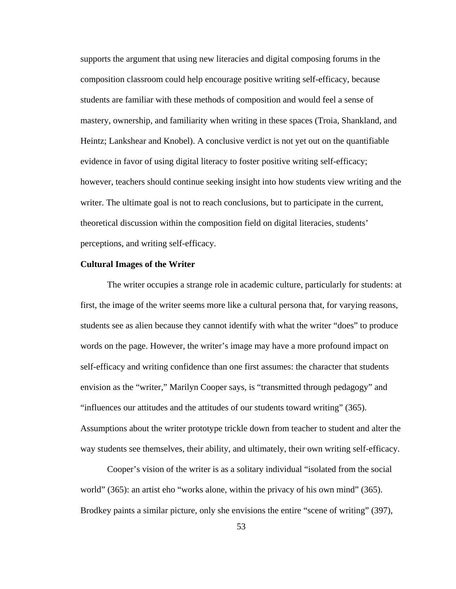supports the argument that using new literacies and digital composing forums in the composition classroom could help encourage positive writing self-efficacy, because students are familiar with these methods of composition and would feel a sense of mastery, ownership, and familiarity when writing in these spaces (Troia, Shankland, and Heintz; Lankshear and Knobel). A conclusive verdict is not yet out on the quantifiable evidence in favor of using digital literacy to foster positive writing self-efficacy; however, teachers should continue seeking insight into how students view writing and the writer. The ultimate goal is not to reach conclusions, but to participate in the current, theoretical discussion within the composition field on digital literacies, students' perceptions, and writing self-efficacy.

#### **Cultural Images of the Writer**

The writer occupies a strange role in academic culture, particularly for students: at first, the image of the writer seems more like a cultural persona that, for varying reasons, students see as alien because they cannot identify with what the writer "does" to produce words on the page. However, the writer's image may have a more profound impact on self-efficacy and writing confidence than one first assumes: the character that students envision as the "writer," Marilyn Cooper says, is "transmitted through pedagogy" and "influences our attitudes and the attitudes of our students toward writing" (365). Assumptions about the writer prototype trickle down from teacher to student and alter the way students see themselves, their ability, and ultimately, their own writing self-efficacy.

Cooper's vision of the writer is as a solitary individual "isolated from the social world" (365): an artist eho "works alone, within the privacy of his own mind" (365). Brodkey paints a similar picture, only she envisions the entire "scene of writing" (397),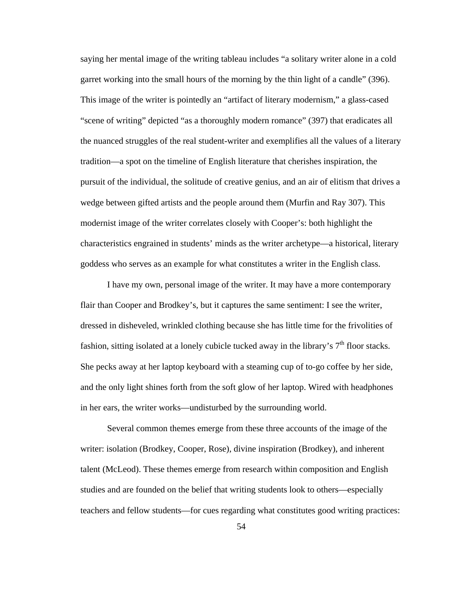saying her mental image of the writing tableau includes "a solitary writer alone in a cold garret working into the small hours of the morning by the thin light of a candle" (396). This image of the writer is pointedly an "artifact of literary modernism," a glass-cased "scene of writing" depicted "as a thoroughly modern romance" (397) that eradicates all the nuanced struggles of the real student-writer and exemplifies all the values of a literary tradition—a spot on the timeline of English literature that cherishes inspiration, the pursuit of the individual, the solitude of creative genius, and an air of elitism that drives a wedge between gifted artists and the people around them (Murfin and Ray 307). This modernist image of the writer correlates closely with Cooper's: both highlight the characteristics engrained in students' minds as the writer archetype—a historical, literary goddess who serves as an example for what constitutes a writer in the English class.

I have my own, personal image of the writer. It may have a more contemporary flair than Cooper and Brodkey's, but it captures the same sentiment: I see the writer, dressed in disheveled, wrinkled clothing because she has little time for the frivolities of fashion, sitting isolated at a lonely cubicle tucked away in the library's  $7<sup>th</sup>$  floor stacks. She pecks away at her laptop keyboard with a steaming cup of to-go coffee by her side, and the only light shines forth from the soft glow of her laptop. Wired with headphones in her ears, the writer works—undisturbed by the surrounding world.

Several common themes emerge from these three accounts of the image of the writer: isolation (Brodkey, Cooper, Rose), divine inspiration (Brodkey), and inherent talent (McLeod). These themes emerge from research within composition and English studies and are founded on the belief that writing students look to others—especially teachers and fellow students—for cues regarding what constitutes good writing practices: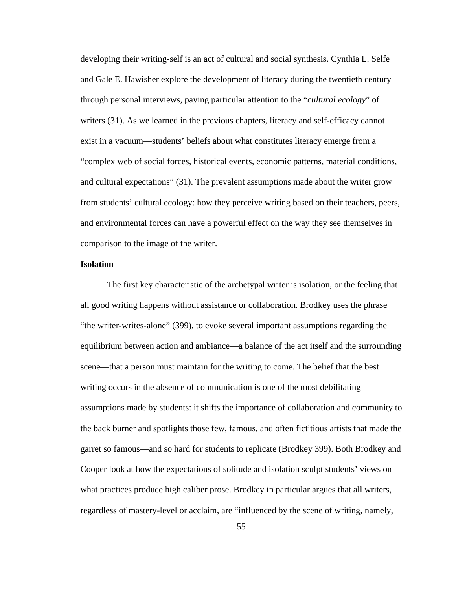developing their writing-self is an act of cultural and social synthesis. Cynthia L. Selfe and Gale E. Hawisher explore the development of literacy during the twentieth century through personal interviews, paying particular attention to the "*cultural ecology*" of writers (31). As we learned in the previous chapters, literacy and self-efficacy cannot exist in a vacuum—students' beliefs about what constitutes literacy emerge from a "complex web of social forces, historical events, economic patterns, material conditions, and cultural expectations" (31). The prevalent assumptions made about the writer grow from students' cultural ecology: how they perceive writing based on their teachers, peers, and environmental forces can have a powerful effect on the way they see themselves in comparison to the image of the writer.

## **Isolation**

The first key characteristic of the archetypal writer is isolation, or the feeling that all good writing happens without assistance or collaboration. Brodkey uses the phrase "the writer-writes-alone" (399), to evoke several important assumptions regarding the equilibrium between action and ambiance—a balance of the act itself and the surrounding scene—that a person must maintain for the writing to come. The belief that the best writing occurs in the absence of communication is one of the most debilitating assumptions made by students: it shifts the importance of collaboration and community to the back burner and spotlights those few, famous, and often fictitious artists that made the garret so famous—and so hard for students to replicate (Brodkey 399). Both Brodkey and Cooper look at how the expectations of solitude and isolation sculpt students' views on what practices produce high caliber prose. Brodkey in particular argues that all writers, regardless of mastery-level or acclaim, are "influenced by the scene of writing, namely,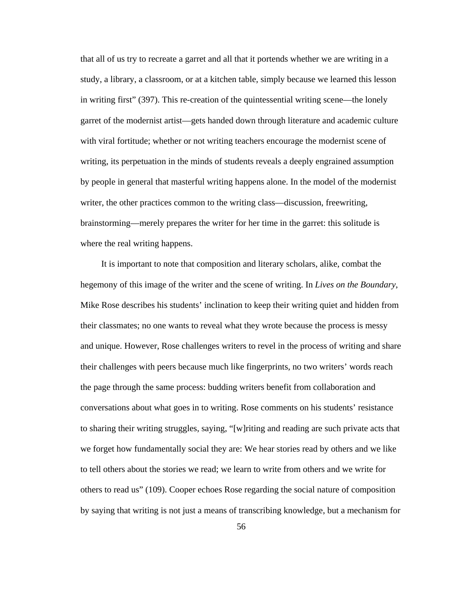that all of us try to recreate a garret and all that it portends whether we are writing in a study, a library, a classroom, or at a kitchen table, simply because we learned this lesson in writing first" (397). This re-creation of the quintessential writing scene—the lonely garret of the modernist artist—gets handed down through literature and academic culture with viral fortitude; whether or not writing teachers encourage the modernist scene of writing, its perpetuation in the minds of students reveals a deeply engrained assumption by people in general that masterful writing happens alone. In the model of the modernist writer, the other practices common to the writing class—discussion, freewriting, brainstorming—merely prepares the writer for her time in the garret: this solitude is where the real writing happens.

 It is important to note that composition and literary scholars, alike, combat the hegemony of this image of the writer and the scene of writing. In *Lives on the Boundary*, Mike Rose describes his students' inclination to keep their writing quiet and hidden from their classmates; no one wants to reveal what they wrote because the process is messy and unique. However, Rose challenges writers to revel in the process of writing and share their challenges with peers because much like fingerprints, no two writers' words reach the page through the same process: budding writers benefit from collaboration and conversations about what goes in to writing. Rose comments on his students' resistance to sharing their writing struggles, saying, "[w]riting and reading are such private acts that we forget how fundamentally social they are: We hear stories read by others and we like to tell others about the stories we read; we learn to write from others and we write for others to read us" (109). Cooper echoes Rose regarding the social nature of composition by saying that writing is not just a means of transcribing knowledge, but a mechanism for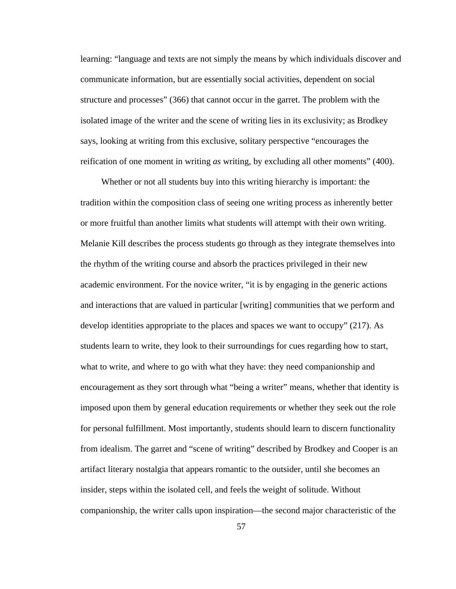learning: "language and texts are not simply the means by which individuals discover and communicate information, but are essentially social activities, dependent on social structure and processes" (366) that cannot occur in the garret. The problem with the isolated image of the writer and the scene of writing lies in its exclusivity; as Brodkey says, looking at writing from this exclusive, solitary perspective "encourages the reification of one moment in writing *as* writing, by excluding all other moments" (400).

 Whether or not all students buy into this writing hierarchy is important: the tradition within the composition class of seeing one writing process as inherently better or more fruitful than another limits what students will attempt with their own writing. Melanie Kill describes the process students go through as they integrate themselves into the rhythm of the writing course and absorb the practices privileged in their new academic environment. For the novice writer, "it is by engaging in the generic actions and interactions that are valued in particular [writing] communities that we perform and develop identities appropriate to the places and spaces we want to occupy" (217). As students learn to write, they look to their surroundings for cues regarding how to start, what to write, and where to go with what they have: they need companionship and encouragement as they sort through what "being a writer" means, whether that identity is imposed upon them by general education requirements or whether they seek out the role for personal fulfillment. Most importantly, students should learn to discern functionality from idealism. The garret and "scene of writing" described by Brodkey and Cooper is an artifact literary nostalgia that appears romantic to the outsider, until she becomes an insider, steps within the isolated cell, and feels the weight of solitude. Without companionship, the writer calls upon inspiration—the second major characteristic of the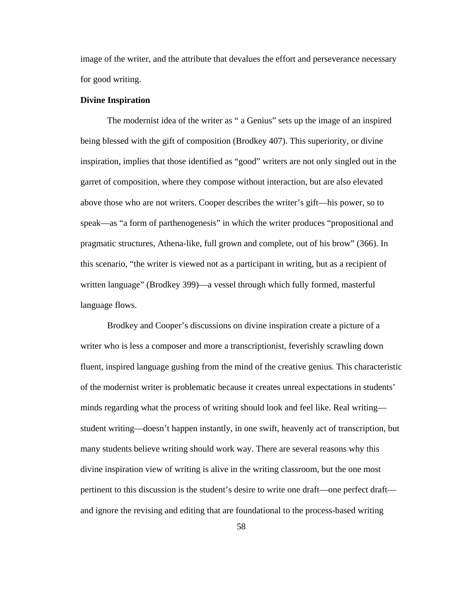image of the writer, and the attribute that devalues the effort and perseverance necessary for good writing.

#### **Divine Inspiration**

The modernist idea of the writer as " a Genius" sets up the image of an inspired being blessed with the gift of composition (Brodkey 407). This superiority, or divine inspiration, implies that those identified as "good" writers are not only singled out in the garret of composition, where they compose without interaction, but are also elevated above those who are not writers. Cooper describes the writer's gift—his power, so to speak—as "a form of parthenogenesis" in which the writer produces "propositional and pragmatic structures, Athena-like, full grown and complete, out of his brow" (366). In this scenario, "the writer is viewed not as a participant in writing, but as a recipient of written language" (Brodkey 399)—a vessel through which fully formed, masterful language flows.

Brodkey and Cooper's discussions on divine inspiration create a picture of a writer who is less a composer and more a transcriptionist, feverishly scrawling down fluent, inspired language gushing from the mind of the creative genius. This characteristic of the modernist writer is problematic because it creates unreal expectations in students' minds regarding what the process of writing should look and feel like. Real writing student writing—doesn't happen instantly, in one swift, heavenly act of transcription, but many students believe writing should work way. There are several reasons why this divine inspiration view of writing is alive in the writing classroom, but the one most pertinent to this discussion is the student's desire to write one draft—one perfect draft and ignore the revising and editing that are foundational to the process-based writing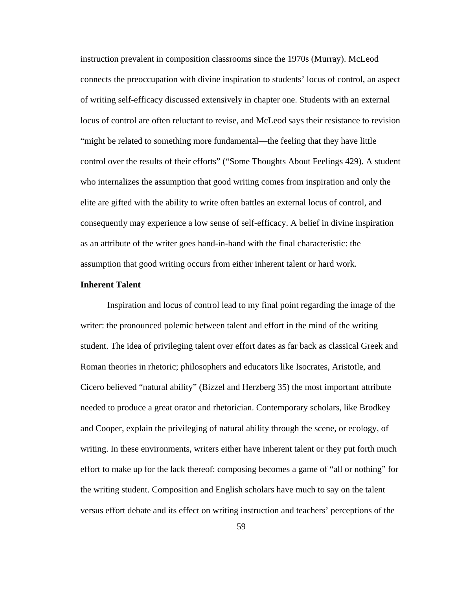instruction prevalent in composition classrooms since the 1970s (Murray). McLeod connects the preoccupation with divine inspiration to students' locus of control, an aspect of writing self-efficacy discussed extensively in chapter one. Students with an external locus of control are often reluctant to revise, and McLeod says their resistance to revision "might be related to something more fundamental—the feeling that they have little control over the results of their efforts" ("Some Thoughts About Feelings 429). A student who internalizes the assumption that good writing comes from inspiration and only the elite are gifted with the ability to write often battles an external locus of control, and consequently may experience a low sense of self-efficacy. A belief in divine inspiration as an attribute of the writer goes hand-in-hand with the final characteristic: the assumption that good writing occurs from either inherent talent or hard work.

# **Inherent Talent**

Inspiration and locus of control lead to my final point regarding the image of the writer: the pronounced polemic between talent and effort in the mind of the writing student. The idea of privileging talent over effort dates as far back as classical Greek and Roman theories in rhetoric; philosophers and educators like Isocrates, Aristotle, and Cicero believed "natural ability" (Bizzel and Herzberg 35) the most important attribute needed to produce a great orator and rhetorician. Contemporary scholars, like Brodkey and Cooper, explain the privileging of natural ability through the scene, or ecology, of writing. In these environments, writers either have inherent talent or they put forth much effort to make up for the lack thereof: composing becomes a game of "all or nothing" for the writing student. Composition and English scholars have much to say on the talent versus effort debate and its effect on writing instruction and teachers' perceptions of the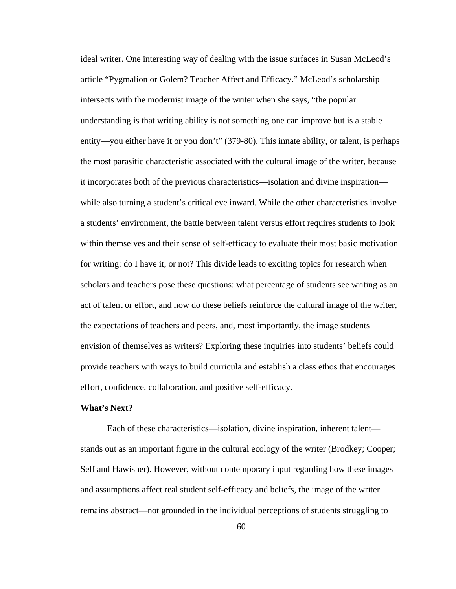ideal writer. One interesting way of dealing with the issue surfaces in Susan McLeod's article "Pygmalion or Golem? Teacher Affect and Efficacy." McLeod's scholarship intersects with the modernist image of the writer when she says, "the popular understanding is that writing ability is not something one can improve but is a stable entity—you either have it or you don't" (379-80). This innate ability, or talent, is perhaps the most parasitic characteristic associated with the cultural image of the writer, because it incorporates both of the previous characteristics—isolation and divine inspiration while also turning a student's critical eye inward. While the other characteristics involve a students' environment, the battle between talent versus effort requires students to look within themselves and their sense of self-efficacy to evaluate their most basic motivation for writing: do I have it, or not? This divide leads to exciting topics for research when scholars and teachers pose these questions: what percentage of students see writing as an act of talent or effort, and how do these beliefs reinforce the cultural image of the writer, the expectations of teachers and peers, and, most importantly, the image students envision of themselves as writers? Exploring these inquiries into students' beliefs could provide teachers with ways to build curricula and establish a class ethos that encourages effort, confidence, collaboration, and positive self-efficacy.

## **What's Next?**

Each of these characteristics—isolation, divine inspiration, inherent talent stands out as an important figure in the cultural ecology of the writer (Brodkey; Cooper; Self and Hawisher). However, without contemporary input regarding how these images and assumptions affect real student self-efficacy and beliefs, the image of the writer remains abstract—not grounded in the individual perceptions of students struggling to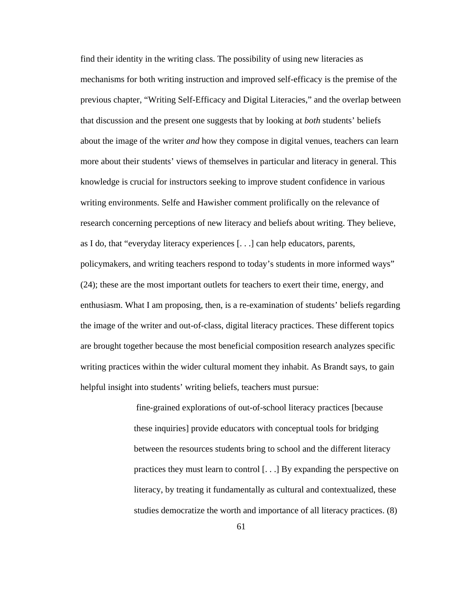find their identity in the writing class. The possibility of using new literacies as mechanisms for both writing instruction and improved self-efficacy is the premise of the previous chapter, "Writing Self-Efficacy and Digital Literacies," and the overlap between that discussion and the present one suggests that by looking at *both* students' beliefs about the image of the writer *and* how they compose in digital venues, teachers can learn more about their students' views of themselves in particular and literacy in general. This knowledge is crucial for instructors seeking to improve student confidence in various writing environments. Selfe and Hawisher comment prolifically on the relevance of research concerning perceptions of new literacy and beliefs about writing. They believe, as I do, that "everyday literacy experiences [. . .] can help educators, parents, policymakers, and writing teachers respond to today's students in more informed ways" (24); these are the most important outlets for teachers to exert their time, energy, and enthusiasm. What I am proposing, then, is a re-examination of students' beliefs regarding the image of the writer and out-of-class, digital literacy practices. These different topics are brought together because the most beneficial composition research analyzes specific writing practices within the wider cultural moment they inhabit. As Brandt says, to gain helpful insight into students' writing beliefs, teachers must pursue:

> fine-grained explorations of out-of-school literacy practices [because these inquiries] provide educators with conceptual tools for bridging between the resources students bring to school and the different literacy practices they must learn to control [. . .] By expanding the perspective on literacy, by treating it fundamentally as cultural and contextualized, these studies democratize the worth and importance of all literacy practices. (8)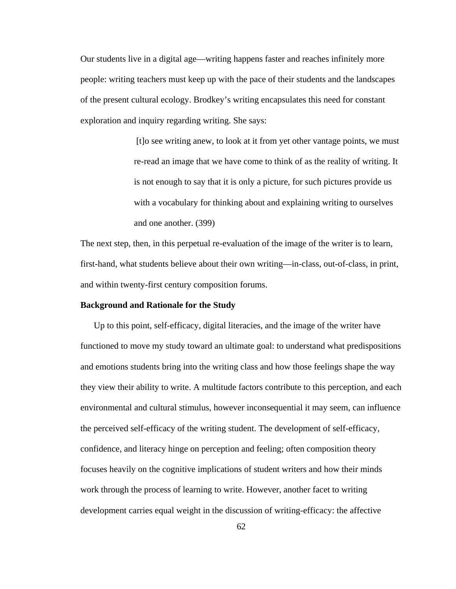Our students live in a digital age—writing happens faster and reaches infinitely more people: writing teachers must keep up with the pace of their students and the landscapes of the present cultural ecology. Brodkey's writing encapsulates this need for constant exploration and inquiry regarding writing. She says:

> [t]o see writing anew, to look at it from yet other vantage points, we must re-read an image that we have come to think of as the reality of writing. It is not enough to say that it is only a picture, for such pictures provide us with a vocabulary for thinking about and explaining writing to ourselves and one another. (399)

The next step, then, in this perpetual re-evaluation of the image of the writer is to learn, first-hand, what students believe about their own writing—in-class, out-of-class, in print, and within twenty-first century composition forums.

# **Background and Rationale for the Study**

Up to this point, self-efficacy, digital literacies, and the image of the writer have functioned to move my study toward an ultimate goal: to understand what predispositions and emotions students bring into the writing class and how those feelings shape the way they view their ability to write. A multitude factors contribute to this perception, and each environmental and cultural stimulus, however inconsequential it may seem, can influence the perceived self-efficacy of the writing student. The development of self-efficacy, confidence, and literacy hinge on perception and feeling; often composition theory focuses heavily on the cognitive implications of student writers and how their minds work through the process of learning to write. However, another facet to writing development carries equal weight in the discussion of writing-efficacy: the affective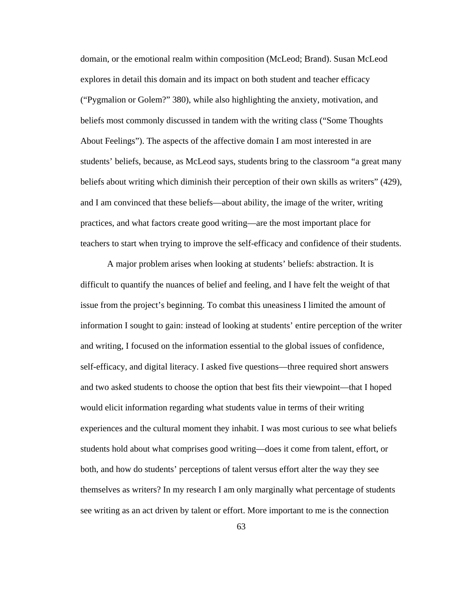domain, or the emotional realm within composition (McLeod; Brand). Susan McLeod explores in detail this domain and its impact on both student and teacher efficacy ("Pygmalion or Golem?" 380), while also highlighting the anxiety, motivation, and beliefs most commonly discussed in tandem with the writing class ("Some Thoughts About Feelings"). The aspects of the affective domain I am most interested in are students' beliefs, because, as McLeod says, students bring to the classroom "a great many beliefs about writing which diminish their perception of their own skills as writers" (429), and I am convinced that these beliefs—about ability, the image of the writer, writing practices, and what factors create good writing—are the most important place for teachers to start when trying to improve the self-efficacy and confidence of their students.

A major problem arises when looking at students' beliefs: abstraction. It is difficult to quantify the nuances of belief and feeling, and I have felt the weight of that issue from the project's beginning. To combat this uneasiness I limited the amount of information I sought to gain: instead of looking at students' entire perception of the writer and writing, I focused on the information essential to the global issues of confidence, self-efficacy, and digital literacy. I asked five questions—three required short answers and two asked students to choose the option that best fits their viewpoint—that I hoped would elicit information regarding what students value in terms of their writing experiences and the cultural moment they inhabit. I was most curious to see what beliefs students hold about what comprises good writing—does it come from talent, effort, or both, and how do students' perceptions of talent versus effort alter the way they see themselves as writers? In my research I am only marginally what percentage of students see writing as an act driven by talent or effort. More important to me is the connection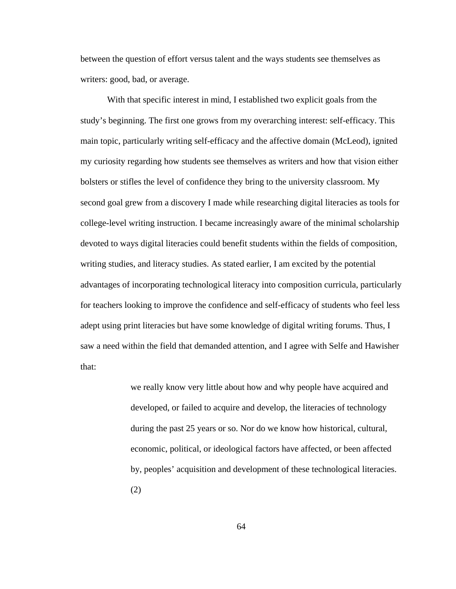between the question of effort versus talent and the ways students see themselves as writers: good, bad, or average.

With that specific interest in mind, I established two explicit goals from the study's beginning. The first one grows from my overarching interest: self-efficacy. This main topic, particularly writing self-efficacy and the affective domain (McLeod), ignited my curiosity regarding how students see themselves as writers and how that vision either bolsters or stifles the level of confidence they bring to the university classroom. My second goal grew from a discovery I made while researching digital literacies as tools for college-level writing instruction. I became increasingly aware of the minimal scholarship devoted to ways digital literacies could benefit students within the fields of composition, writing studies, and literacy studies. As stated earlier, I am excited by the potential advantages of incorporating technological literacy into composition curricula, particularly for teachers looking to improve the confidence and self-efficacy of students who feel less adept using print literacies but have some knowledge of digital writing forums. Thus, I saw a need within the field that demanded attention, and I agree with Selfe and Hawisher that:

> we really know very little about how and why people have acquired and developed, or failed to acquire and develop, the literacies of technology during the past 25 years or so. Nor do we know how historical, cultural, economic, political, or ideological factors have affected, or been affected by, peoples' acquisition and development of these technological literacies. (2)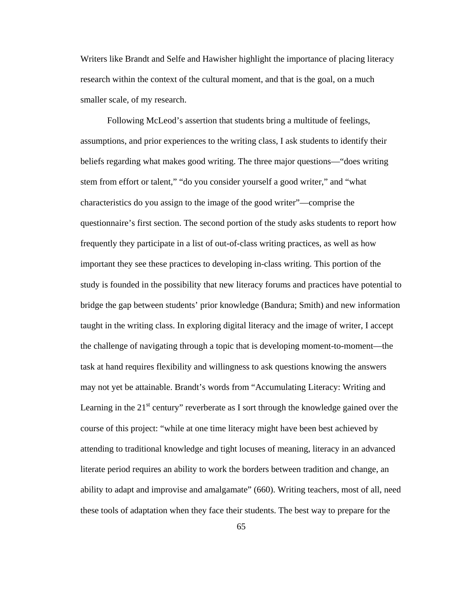Writers like Brandt and Selfe and Hawisher highlight the importance of placing literacy research within the context of the cultural moment, and that is the goal, on a much smaller scale, of my research.

Following McLeod's assertion that students bring a multitude of feelings, assumptions, and prior experiences to the writing class, I ask students to identify their beliefs regarding what makes good writing. The three major questions—"does writing stem from effort or talent," "do you consider yourself a good writer," and "what characteristics do you assign to the image of the good writer"—comprise the questionnaire's first section. The second portion of the study asks students to report how frequently they participate in a list of out-of-class writing practices, as well as how important they see these practices to developing in-class writing. This portion of the study is founded in the possibility that new literacy forums and practices have potential to bridge the gap between students' prior knowledge (Bandura; Smith) and new information taught in the writing class. In exploring digital literacy and the image of writer, I accept the challenge of navigating through a topic that is developing moment-to-moment—the task at hand requires flexibility and willingness to ask questions knowing the answers may not yet be attainable. Brandt's words from "Accumulating Literacy: Writing and Learning in the  $21<sup>st</sup>$  century" reverberate as I sort through the knowledge gained over the course of this project: "while at one time literacy might have been best achieved by attending to traditional knowledge and tight locuses of meaning, literacy in an advanced literate period requires an ability to work the borders between tradition and change, an ability to adapt and improvise and amalgamate" (660). Writing teachers, most of all, need these tools of adaptation when they face their students. The best way to prepare for the

65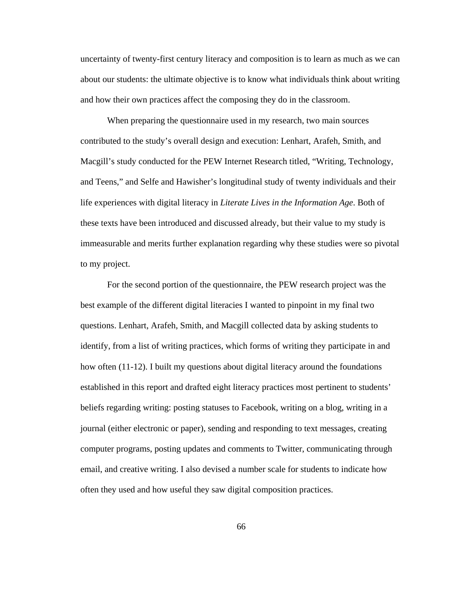uncertainty of twenty-first century literacy and composition is to learn as much as we can about our students: the ultimate objective is to know what individuals think about writing and how their own practices affect the composing they do in the classroom.

When preparing the questionnaire used in my research, two main sources contributed to the study's overall design and execution: Lenhart, Arafeh, Smith, and Macgill's study conducted for the PEW Internet Research titled, "Writing, Technology, and Teens," and Selfe and Hawisher's longitudinal study of twenty individuals and their life experiences with digital literacy in *Literate Lives in the Information Age*. Both of these texts have been introduced and discussed already, but their value to my study is immeasurable and merits further explanation regarding why these studies were so pivotal to my project.

For the second portion of the questionnaire, the PEW research project was the best example of the different digital literacies I wanted to pinpoint in my final two questions. Lenhart, Arafeh, Smith, and Macgill collected data by asking students to identify, from a list of writing practices, which forms of writing they participate in and how often (11-12). I built my questions about digital literacy around the foundations established in this report and drafted eight literacy practices most pertinent to students' beliefs regarding writing: posting statuses to Facebook, writing on a blog, writing in a journal (either electronic or paper), sending and responding to text messages, creating computer programs, posting updates and comments to Twitter, communicating through email, and creative writing. I also devised a number scale for students to indicate how often they used and how useful they saw digital composition practices.

66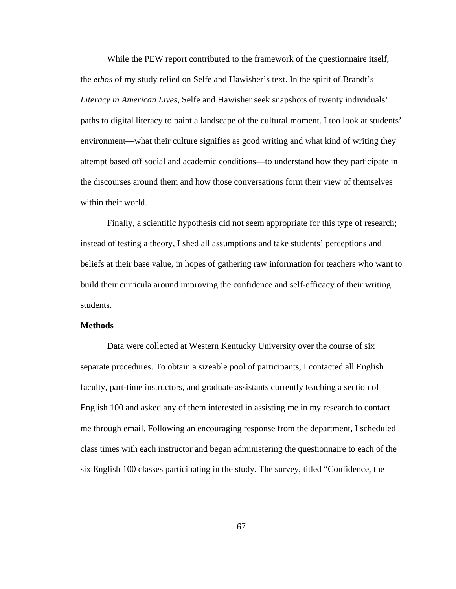While the PEW report contributed to the framework of the questionnaire itself, the *ethos* of my study relied on Selfe and Hawisher's text. In the spirit of Brandt's *Literacy in American Lives*, Selfe and Hawisher seek snapshots of twenty individuals' paths to digital literacy to paint a landscape of the cultural moment. I too look at students' environment—what their culture signifies as good writing and what kind of writing they attempt based off social and academic conditions—to understand how they participate in the discourses around them and how those conversations form their view of themselves within their world.

Finally, a scientific hypothesis did not seem appropriate for this type of research; instead of testing a theory, I shed all assumptions and take students' perceptions and beliefs at their base value, in hopes of gathering raw information for teachers who want to build their curricula around improving the confidence and self-efficacy of their writing students.

## **Methods**

Data were collected at Western Kentucky University over the course of six separate procedures. To obtain a sizeable pool of participants, I contacted all English faculty, part-time instructors, and graduate assistants currently teaching a section of English 100 and asked any of them interested in assisting me in my research to contact me through email. Following an encouraging response from the department, I scheduled class times with each instructor and began administering the questionnaire to each of the six English 100 classes participating in the study. The survey, titled "Confidence, the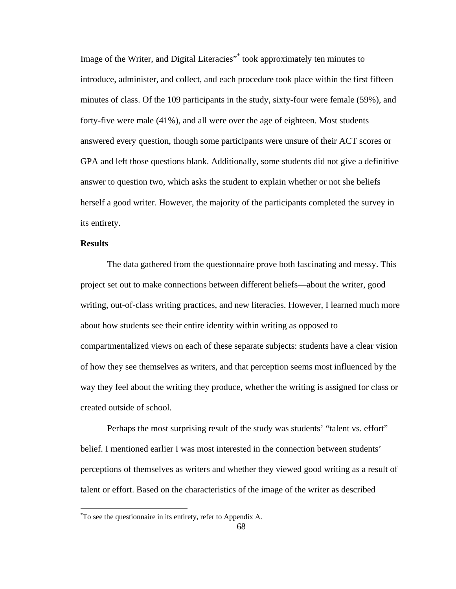Image of the Writer, and Digital Literacies"\* took approximately ten minutes to introduce, administer, and collect, and each procedure took place within the first fifteen minutes of class. Of the 109 participants in the study, sixty-four were female (59%), and forty-five were male (41%), and all were over the age of eighteen. Most students answered every question, though some participants were unsure of their ACT scores or GPA and left those questions blank. Additionally, some students did not give a definitive answer to question two, which asks the student to explain whether or not she beliefs herself a good writer. However, the majority of the participants completed the survey in its entirety.

## **Results**

 $\overline{a}$ 

The data gathered from the questionnaire prove both fascinating and messy. This project set out to make connections between different beliefs—about the writer, good writing, out-of-class writing practices, and new literacies. However, I learned much more about how students see their entire identity within writing as opposed to compartmentalized views on each of these separate subjects: students have a clear vision of how they see themselves as writers, and that perception seems most influenced by the way they feel about the writing they produce, whether the writing is assigned for class or created outside of school.

Perhaps the most surprising result of the study was students' "talent vs. effort" belief. I mentioned earlier I was most interested in the connection between students' perceptions of themselves as writers and whether they viewed good writing as a result of talent or effort. Based on the characteristics of the image of the writer as described

<sup>\*</sup> To see the questionnaire in its entirety, refer to Appendix A.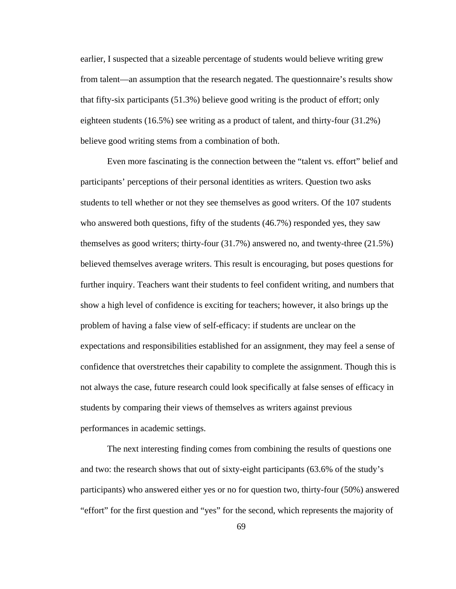earlier, I suspected that a sizeable percentage of students would believe writing grew from talent—an assumption that the research negated. The questionnaire's results show that fifty-six participants (51.3%) believe good writing is the product of effort; only eighteen students (16.5%) see writing as a product of talent, and thirty-four (31.2%) believe good writing stems from a combination of both.

Even more fascinating is the connection between the "talent vs. effort" belief and participants' perceptions of their personal identities as writers. Question two asks students to tell whether or not they see themselves as good writers. Of the 107 students who answered both questions, fifty of the students (46.7%) responded yes, they saw themselves as good writers; thirty-four (31.7%) answered no, and twenty-three (21.5%) believed themselves average writers. This result is encouraging, but poses questions for further inquiry. Teachers want their students to feel confident writing, and numbers that show a high level of confidence is exciting for teachers; however, it also brings up the problem of having a false view of self-efficacy: if students are unclear on the expectations and responsibilities established for an assignment, they may feel a sense of confidence that overstretches their capability to complete the assignment. Though this is not always the case, future research could look specifically at false senses of efficacy in students by comparing their views of themselves as writers against previous performances in academic settings.

The next interesting finding comes from combining the results of questions one and two: the research shows that out of sixty-eight participants (63.6% of the study's participants) who answered either yes or no for question two, thirty-four (50%) answered "effort" for the first question and "yes" for the second, which represents the majority of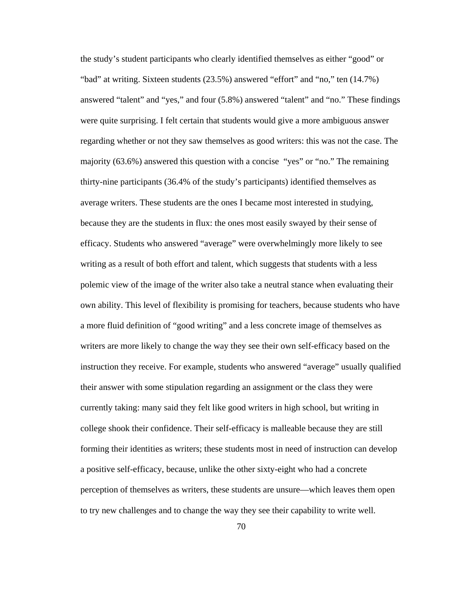the study's student participants who clearly identified themselves as either "good" or "bad" at writing. Sixteen students (23.5%) answered "effort" and "no," ten (14.7%) answered "talent" and "yes," and four (5.8%) answered "talent" and "no." These findings were quite surprising. I felt certain that students would give a more ambiguous answer regarding whether or not they saw themselves as good writers: this was not the case. The majority (63.6%) answered this question with a concise "yes" or "no." The remaining thirty-nine participants (36.4% of the study's participants) identified themselves as average writers. These students are the ones I became most interested in studying, because they are the students in flux: the ones most easily swayed by their sense of efficacy. Students who answered "average" were overwhelmingly more likely to see writing as a result of both effort and talent, which suggests that students with a less polemic view of the image of the writer also take a neutral stance when evaluating their own ability. This level of flexibility is promising for teachers, because students who have a more fluid definition of "good writing" and a less concrete image of themselves as writers are more likely to change the way they see their own self-efficacy based on the instruction they receive. For example, students who answered "average" usually qualified their answer with some stipulation regarding an assignment or the class they were currently taking: many said they felt like good writers in high school, but writing in college shook their confidence. Their self-efficacy is malleable because they are still forming their identities as writers; these students most in need of instruction can develop a positive self-efficacy, because, unlike the other sixty-eight who had a concrete perception of themselves as writers, these students are unsure—which leaves them open to try new challenges and to change the way they see their capability to write well.

70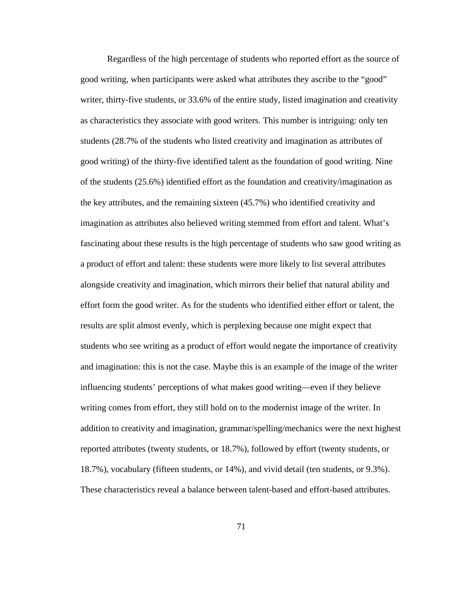Regardless of the high percentage of students who reported effort as the source of good writing, when participants were asked what attributes they ascribe to the "good" writer, thirty-five students, or 33.6% of the entire study, listed imagination and creativity as characteristics they associate with good writers. This number is intriguing: only ten students (28.7% of the students who listed creativity and imagination as attributes of good writing) of the thirty-five identified talent as the foundation of good writing. Nine of the students (25.6%) identified effort as the foundation and creativity/imagination as the key attributes, and the remaining sixteen (45.7%) who identified creativity and imagination as attributes also believed writing stemmed from effort and talent. What's fascinating about these results is the high percentage of students who saw good writing as a product of effort and talent: these students were more likely to list several attributes alongside creativity and imagination, which mirrors their belief that natural ability and effort form the good writer. As for the students who identified either effort or talent, the results are split almost evenly, which is perplexing because one might expect that students who see writing as a product of effort would negate the importance of creativity and imagination: this is not the case. Maybe this is an example of the image of the writer influencing students' perceptions of what makes good writing—even if they believe writing comes from effort, they still hold on to the modernist image of the writer. In addition to creativity and imagination, grammar/spelling/mechanics were the next highest reported attributes (twenty students, or 18.7%), followed by effort (twenty students, or 18.7%), vocabulary (fifteen students, or 14%), and vivid detail (ten students, or 9.3%). These characteristics reveal a balance between talent-based and effort-based attributes.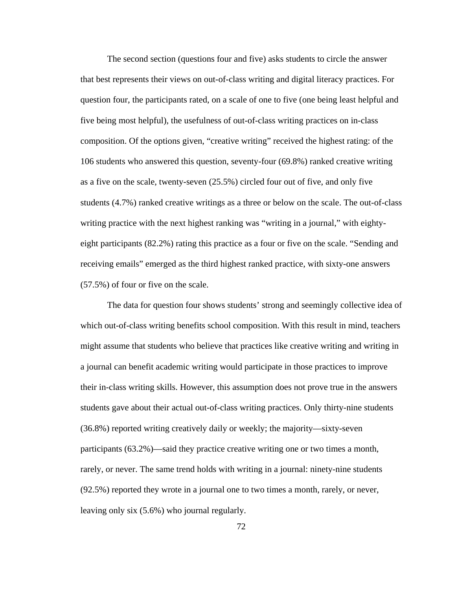The second section (questions four and five) asks students to circle the answer that best represents their views on out-of-class writing and digital literacy practices. For question four, the participants rated, on a scale of one to five (one being least helpful and five being most helpful), the usefulness of out-of-class writing practices on in-class composition. Of the options given, "creative writing" received the highest rating: of the 106 students who answered this question, seventy-four (69.8%) ranked creative writing as a five on the scale, twenty-seven (25.5%) circled four out of five, and only five students (4.7%) ranked creative writings as a three or below on the scale. The out-of-class writing practice with the next highest ranking was "writing in a journal," with eightyeight participants (82.2%) rating this practice as a four or five on the scale. "Sending and receiving emails" emerged as the third highest ranked practice, with sixty-one answers (57.5%) of four or five on the scale.

The data for question four shows students' strong and seemingly collective idea of which out-of-class writing benefits school composition. With this result in mind, teachers might assume that students who believe that practices like creative writing and writing in a journal can benefit academic writing would participate in those practices to improve their in-class writing skills. However, this assumption does not prove true in the answers students gave about their actual out-of-class writing practices. Only thirty-nine students (36.8%) reported writing creatively daily or weekly; the majority—sixty-seven participants (63.2%)—said they practice creative writing one or two times a month, rarely, or never. The same trend holds with writing in a journal: ninety-nine students (92.5%) reported they wrote in a journal one to two times a month, rarely, or never, leaving only six (5.6%) who journal regularly.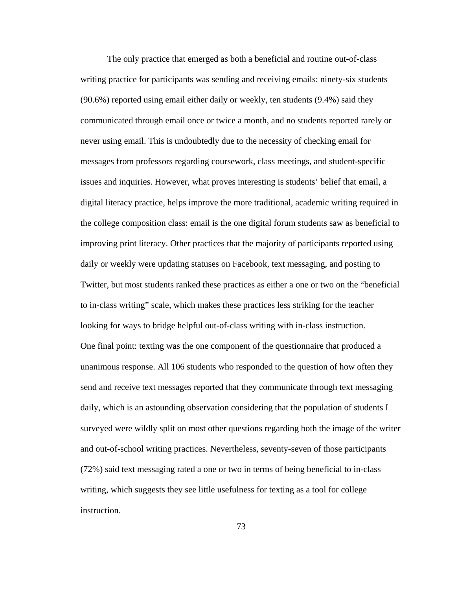The only practice that emerged as both a beneficial and routine out-of-class writing practice for participants was sending and receiving emails: ninety-six students (90.6%) reported using email either daily or weekly, ten students (9.4%) said they communicated through email once or twice a month, and no students reported rarely or never using email. This is undoubtedly due to the necessity of checking email for messages from professors regarding coursework, class meetings, and student-specific issues and inquiries. However, what proves interesting is students' belief that email, a digital literacy practice, helps improve the more traditional, academic writing required in the college composition class: email is the one digital forum students saw as beneficial to improving print literacy. Other practices that the majority of participants reported using daily or weekly were updating statuses on Facebook, text messaging, and posting to Twitter, but most students ranked these practices as either a one or two on the "beneficial to in-class writing" scale, which makes these practices less striking for the teacher looking for ways to bridge helpful out-of-class writing with in-class instruction. One final point: texting was the one component of the questionnaire that produced a unanimous response. All 106 students who responded to the question of how often they send and receive text messages reported that they communicate through text messaging daily, which is an astounding observation considering that the population of students I surveyed were wildly split on most other questions regarding both the image of the writer and out-of-school writing practices. Nevertheless, seventy-seven of those participants (72%) said text messaging rated a one or two in terms of being beneficial to in-class writing, which suggests they see little usefulness for texting as a tool for college instruction.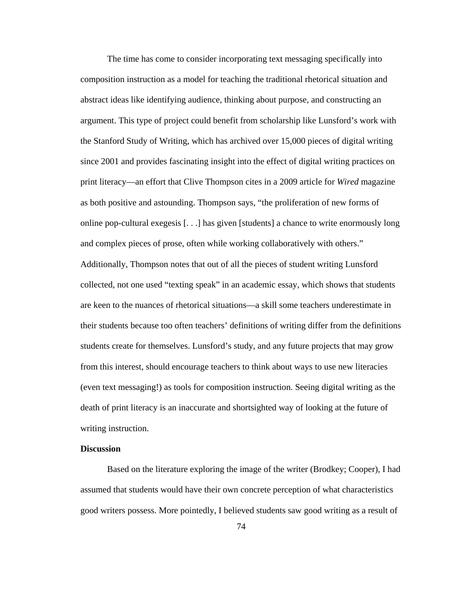The time has come to consider incorporating text messaging specifically into composition instruction as a model for teaching the traditional rhetorical situation and abstract ideas like identifying audience, thinking about purpose, and constructing an argument. This type of project could benefit from scholarship like Lunsford's work with the Stanford Study of Writing, which has archived over 15,000 pieces of digital writing since 2001 and provides fascinating insight into the effect of digital writing practices on print literacy—an effort that Clive Thompson cites in a 2009 article for *Wired* magazine as both positive and astounding. Thompson says, "the proliferation of new forms of online pop-cultural exegesis [. . .] has given [students] a chance to write enormously long and complex pieces of prose, often while working collaboratively with others." Additionally, Thompson notes that out of all the pieces of student writing Lunsford collected, not one used "texting speak" in an academic essay, which shows that students are keen to the nuances of rhetorical situations—a skill some teachers underestimate in their students because too often teachers' definitions of writing differ from the definitions students create for themselves. Lunsford's study, and any future projects that may grow from this interest, should encourage teachers to think about ways to use new literacies (even text messaging!) as tools for composition instruction. Seeing digital writing as the death of print literacy is an inaccurate and shortsighted way of looking at the future of writing instruction.

# **Discussion**

Based on the literature exploring the image of the writer (Brodkey; Cooper), I had assumed that students would have their own concrete perception of what characteristics good writers possess. More pointedly, I believed students saw good writing as a result of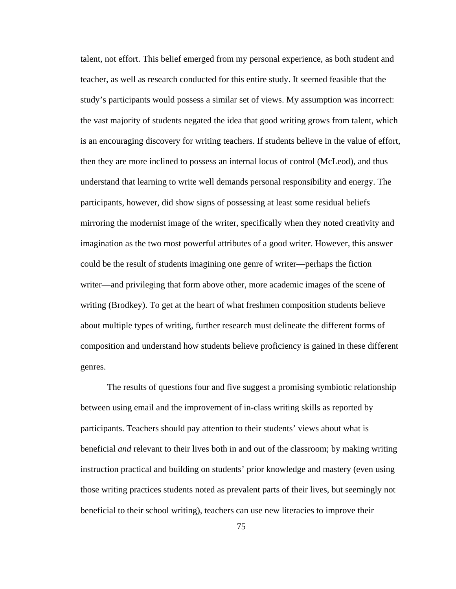talent, not effort. This belief emerged from my personal experience, as both student and teacher, as well as research conducted for this entire study. It seemed feasible that the study's participants would possess a similar set of views. My assumption was incorrect: the vast majority of students negated the idea that good writing grows from talent, which is an encouraging discovery for writing teachers. If students believe in the value of effort, then they are more inclined to possess an internal locus of control (McLeod), and thus understand that learning to write well demands personal responsibility and energy. The participants, however, did show signs of possessing at least some residual beliefs mirroring the modernist image of the writer, specifically when they noted creativity and imagination as the two most powerful attributes of a good writer. However, this answer could be the result of students imagining one genre of writer—perhaps the fiction writer—and privileging that form above other, more academic images of the scene of writing (Brodkey). To get at the heart of what freshmen composition students believe about multiple types of writing, further research must delineate the different forms of composition and understand how students believe proficiency is gained in these different genres.

The results of questions four and five suggest a promising symbiotic relationship between using email and the improvement of in-class writing skills as reported by participants. Teachers should pay attention to their students' views about what is beneficial *and* relevant to their lives both in and out of the classroom; by making writing instruction practical and building on students' prior knowledge and mastery (even using those writing practices students noted as prevalent parts of their lives, but seemingly not beneficial to their school writing), teachers can use new literacies to improve their

75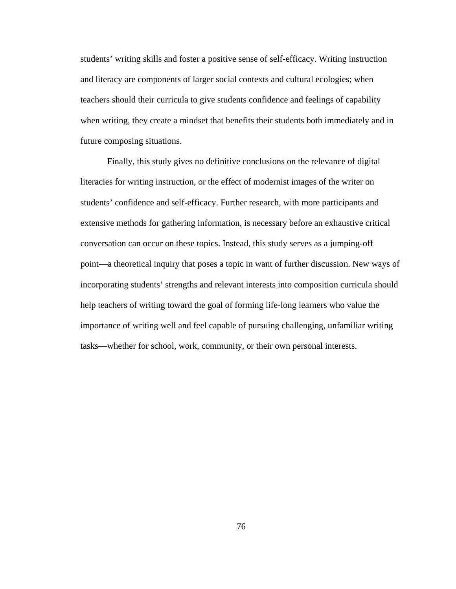students' writing skills and foster a positive sense of self-efficacy. Writing instruction and literacy are components of larger social contexts and cultural ecologies; when teachers should their curricula to give students confidence and feelings of capability when writing, they create a mindset that benefits their students both immediately and in future composing situations.

Finally, this study gives no definitive conclusions on the relevance of digital literacies for writing instruction, or the effect of modernist images of the writer on students' confidence and self-efficacy. Further research, with more participants and extensive methods for gathering information, is necessary before an exhaustive critical conversation can occur on these topics. Instead, this study serves as a jumping-off point—a theoretical inquiry that poses a topic in want of further discussion. New ways of incorporating students' strengths and relevant interests into composition curricula should help teachers of writing toward the goal of forming life-long learners who value the importance of writing well and feel capable of pursuing challenging, unfamiliar writing tasks—whether for school, work, community, or their own personal interests.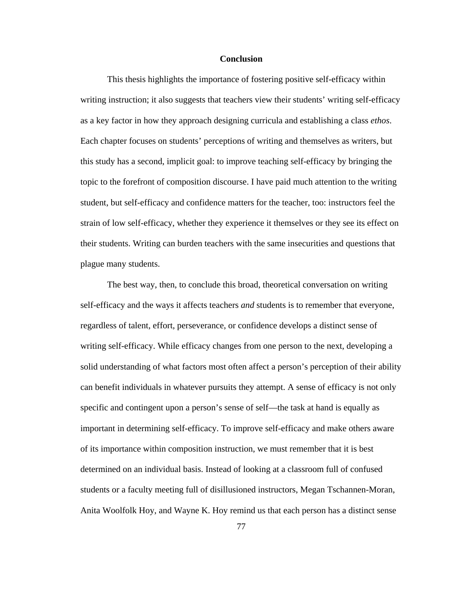### **Conclusion**

This thesis highlights the importance of fostering positive self-efficacy within writing instruction; it also suggests that teachers view their students' writing self-efficacy as a key factor in how they approach designing curricula and establishing a class *ethos*. Each chapter focuses on students' perceptions of writing and themselves as writers, but this study has a second, implicit goal: to improve teaching self-efficacy by bringing the topic to the forefront of composition discourse. I have paid much attention to the writing student, but self-efficacy and confidence matters for the teacher, too: instructors feel the strain of low self-efficacy, whether they experience it themselves or they see its effect on their students. Writing can burden teachers with the same insecurities and questions that plague many students.

The best way, then, to conclude this broad, theoretical conversation on writing self-efficacy and the ways it affects teachers *and* students is to remember that everyone, regardless of talent, effort, perseverance, or confidence develops a distinct sense of writing self-efficacy. While efficacy changes from one person to the next, developing a solid understanding of what factors most often affect a person's perception of their ability can benefit individuals in whatever pursuits they attempt. A sense of efficacy is not only specific and contingent upon a person's sense of self—the task at hand is equally as important in determining self-efficacy. To improve self-efficacy and make others aware of its importance within composition instruction, we must remember that it is best determined on an individual basis. Instead of looking at a classroom full of confused students or a faculty meeting full of disillusioned instructors, Megan Tschannen-Moran, Anita Woolfolk Hoy, and Wayne K. Hoy remind us that each person has a distinct sense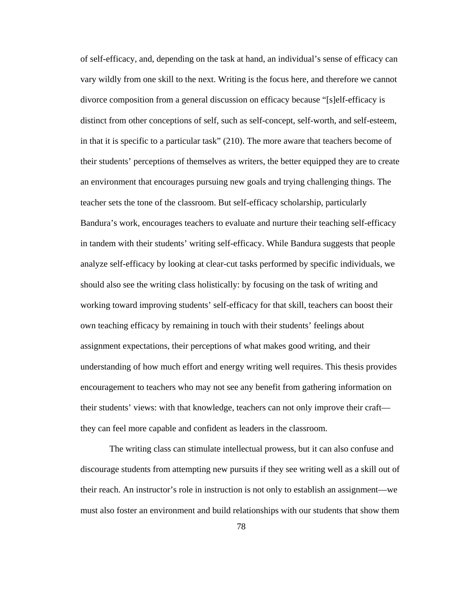of self-efficacy, and, depending on the task at hand, an individual's sense of efficacy can vary wildly from one skill to the next. Writing is the focus here, and therefore we cannot divorce composition from a general discussion on efficacy because "[s]elf-efficacy is distinct from other conceptions of self, such as self-concept, self-worth, and self-esteem, in that it is specific to a particular task" (210). The more aware that teachers become of their students' perceptions of themselves as writers, the better equipped they are to create an environment that encourages pursuing new goals and trying challenging things. The teacher sets the tone of the classroom. But self-efficacy scholarship, particularly Bandura's work, encourages teachers to evaluate and nurture their teaching self-efficacy in tandem with their students' writing self-efficacy. While Bandura suggests that people analyze self-efficacy by looking at clear-cut tasks performed by specific individuals, we should also see the writing class holistically: by focusing on the task of writing and working toward improving students' self-efficacy for that skill, teachers can boost their own teaching efficacy by remaining in touch with their students' feelings about assignment expectations, their perceptions of what makes good writing, and their understanding of how much effort and energy writing well requires. This thesis provides encouragement to teachers who may not see any benefit from gathering information on their students' views: with that knowledge, teachers can not only improve their craft they can feel more capable and confident as leaders in the classroom.

 The writing class can stimulate intellectual prowess, but it can also confuse and discourage students from attempting new pursuits if they see writing well as a skill out of their reach. An instructor's role in instruction is not only to establish an assignment—we must also foster an environment and build relationships with our students that show them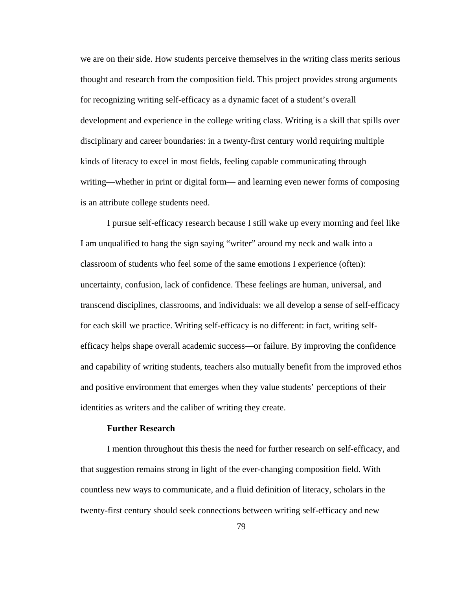we are on their side. How students perceive themselves in the writing class merits serious thought and research from the composition field. This project provides strong arguments for recognizing writing self-efficacy as a dynamic facet of a student's overall development and experience in the college writing class. Writing is a skill that spills over disciplinary and career boundaries: in a twenty-first century world requiring multiple kinds of literacy to excel in most fields, feeling capable communicating through writing—whether in print or digital form— and learning even newer forms of composing is an attribute college students need.

I pursue self-efficacy research because I still wake up every morning and feel like I am unqualified to hang the sign saying "writer" around my neck and walk into a classroom of students who feel some of the same emotions I experience (often): uncertainty, confusion, lack of confidence. These feelings are human, universal, and transcend disciplines, classrooms, and individuals: we all develop a sense of self-efficacy for each skill we practice. Writing self-efficacy is no different: in fact, writing selfefficacy helps shape overall academic success—or failure. By improving the confidence and capability of writing students, teachers also mutually benefit from the improved ethos and positive environment that emerges when they value students' perceptions of their identities as writers and the caliber of writing they create.

## **Further Research**

 I mention throughout this thesis the need for further research on self-efficacy, and that suggestion remains strong in light of the ever-changing composition field. With countless new ways to communicate, and a fluid definition of literacy, scholars in the twenty-first century should seek connections between writing self-efficacy and new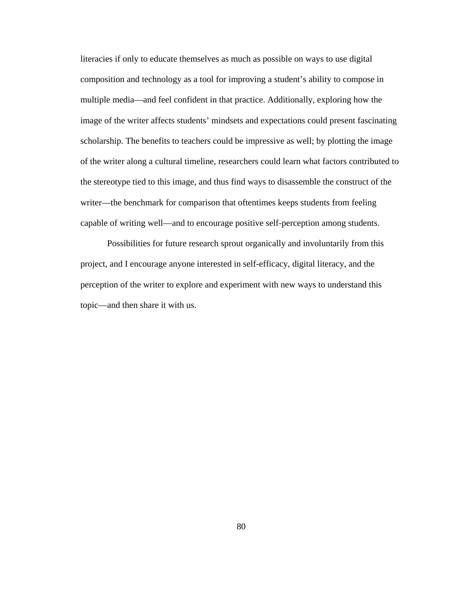literacies if only to educate themselves as much as possible on ways to use digital composition and technology as a tool for improving a student's ability to compose in multiple media—and feel confident in that practice. Additionally, exploring how the image of the writer affects students' mindsets and expectations could present fascinating scholarship. The benefits to teachers could be impressive as well; by plotting the image of the writer along a cultural timeline, researchers could learn what factors contributed to the stereotype tied to this image, and thus find ways to disassemble the construct of the writer—the benchmark for comparison that oftentimes keeps students from feeling capable of writing well—and to encourage positive self-perception among students.

 Possibilities for future research sprout organically and involuntarily from this project, and I encourage anyone interested in self-efficacy, digital literacy, and the perception of the writer to explore and experiment with new ways to understand this topic—and then share it with us.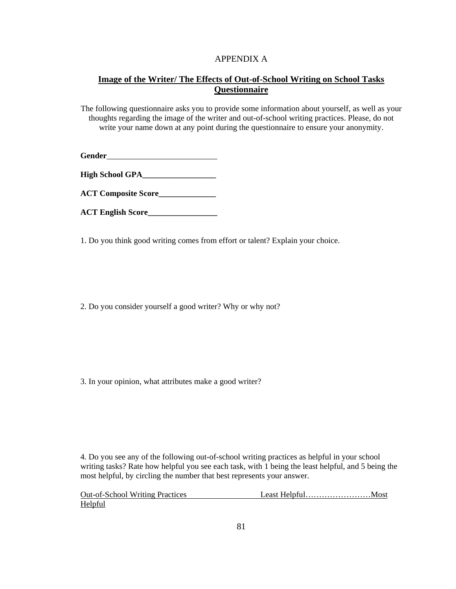# APPENDIX A

# **Image of the Writer/ The Effects of Out-of-School Writing on School Tasks Questionnaire**

The following questionnaire asks you to provide some information about yourself, as well as your thoughts regarding the image of the writer and out-of-school writing practices. Please, do not write your name down at any point during the questionnaire to ensure your anonymity.

Gender

**High School GPA\_\_\_\_\_\_\_\_\_\_\_\_\_\_\_\_\_\_**

**ACT Composite Score\_\_\_\_\_\_\_\_\_\_\_\_\_\_** 

**ACT English Score\_\_\_\_\_\_\_\_\_\_\_\_\_\_\_\_\_** 

1. Do you think good writing comes from effort or talent? Explain your choice.

2. Do you consider yourself a good writer? Why or why not?

3. In your opinion, what attributes make a good writer?

4. Do you see any of the following out-of-school writing practices as helpful in your school writing tasks? Rate how helpful you see each task, with 1 being the least helpful, and 5 being the most helpful, by circling the number that best represents your answer.

| <b>Out-of-School Writing Practices</b> |  |
|----------------------------------------|--|
| Helpful                                |  |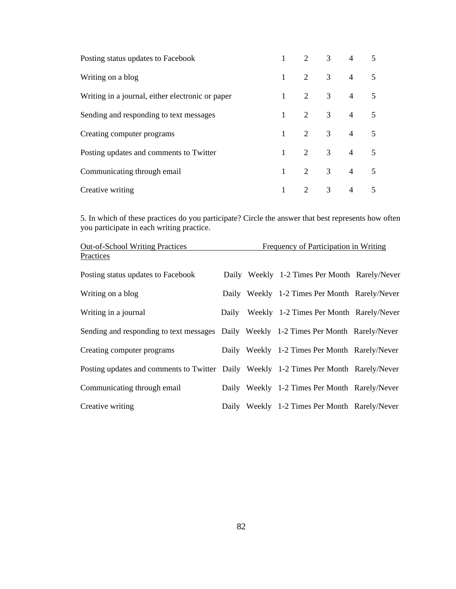| Posting status updates to Facebook               | $\mathbf{1}$ |                |                | $2 \quad 3 \quad 4 \quad 5$ |   |
|--------------------------------------------------|--------------|----------------|----------------|-----------------------------|---|
| Writing on a blog                                | $1 -$        | 2              |                | $3 \t 4 \t 5$               |   |
| Writing in a journal, either electronic or paper | $1 \quad$    | 2              |                | $3 \t 4 \t 5$               |   |
| Sending and responding to text messages          | 1            | 2              |                | $3 \t 4 \t 5$               |   |
| Creating computer programs                       | $1 \quad$    | $\overline{2}$ | 3 <sup>7</sup> | $4\quad 5$                  |   |
| Posting updates and comments to Twitter          | $\mathbf{1}$ | $\overline{2}$ | 3 <sup>7</sup> | $4\quad 5$                  |   |
| Communicating through email                      |              | $\overline{2}$ | 3 <sup>7</sup> | $4\quad 5$                  |   |
| Creative writing                                 |              | 2              | $\overline{3}$ | $\overline{4}$              | 5 |

5. In which of these practices do you participate? Circle the answer that best represents how often you participate in each writing practice.

| <b>Out-of-School Writing Practices</b>                                                | Frequency of Participation in Writing |  |                                               |  |
|---------------------------------------------------------------------------------------|---------------------------------------|--|-----------------------------------------------|--|
| Practices                                                                             |                                       |  |                                               |  |
| Posting status updates to Facebook                                                    |                                       |  | Daily Weekly 1-2 Times Per Month Rarely/Never |  |
| Writing on a blog                                                                     |                                       |  | Daily Weekly 1-2 Times Per Month Rarely/Never |  |
| Writing in a journal                                                                  |                                       |  | Daily Weekly 1-2 Times Per Month Rarely/Never |  |
| Sending and responding to text messages Daily Weekly 1-2 Times Per Month Rarely/Never |                                       |  |                                               |  |
| Creating computer programs                                                            |                                       |  | Daily Weekly 1-2 Times Per Month Rarely/Never |  |
| Posting updates and comments to Twitter Daily Weekly 1-2 Times Per Month Rarely/Never |                                       |  |                                               |  |
| Communicating through email                                                           |                                       |  | Daily Weekly 1-2 Times Per Month Rarely/Never |  |
| Creative writing                                                                      |                                       |  | Daily Weekly 1-2 Times Per Month Rarely/Never |  |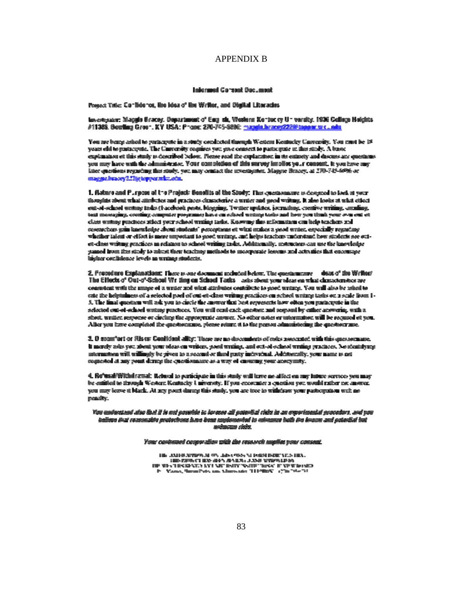## APPENDIX B

#### Intermed Consent Dacument

Posset Tate: Confidence, like Idea of the Writer, and Digital Liberacies

Investigator: Maggia Gracey, Ospartment of English, Weslern Kentucky University, 1936 College Halgits, #11388, Booting Green, KY USA: Phone: 276-745-8886; maggia brace(2228) tapper or clears

You are being asked to participate in a study conducted though Western Kentucky Canyemity. You must be 18. years old to participate. The Cauversity cognises you give consent to participate in this study. A basic explanation et this study is described below. Flense read the explanation in its entirely and discuss and questions you may have with the administrator. Your completion of this survey implies your consent, it you have any later questions regarding that study, you may contact the atvestigator. Magyre Bracey, at 270-745-60% or magne.bracey2.23g tepper.wkr.edu.

1. Nature and Puraces of the Project: Genelits of the Study: The curriconaure is developed to look at your thoughts about what attachates and practices clausicientee a writer and good writing. It also looks at what ethed ent-of-school womey tasks (Faochook pests, blogging, Twitter updates, journaling, coentive writing, amaling, text messaging, coesting computer programs; has a on school writing tasks and how you think your over out of class writing practices attect your school writing tasks. Knowing this information can belp teachers and costruction gain knowledge about students' perceptuans at wind attaics a good writer, especially regarding whether talent or effort is more unpottent to good writing, and helps teachers understand how students see outet-class writing gractices in relation to school writing tasks. Additionally, instructors can use the knowledge samed from the study to adrest their teaching methods to incorporate lessons and activities that encourage inglaer confinience levels an wratage students.

2. Propositore Explanations: There is one document included below. The questionizing dease of the Writes! The Effects of Out-of-School Wr ting on School Tacks asis along your slees on what dictacters has a consistent with the amage of a writer and what attributes contribute to good writing. You will also be telept to cate the helptulness of a selected poel of out-et-class writing practices on school writing tasks on a scale from 1-3. The final question will ask you to circle the answer that best represents how obten you participate in the selected out-of-school writing practices. You will cent each question and respond by enfact answering, with a short, written response or circling the appropriate answer. No other notes or intermation will be required of you. After you have completed the questionnume, please return it to the person administering the question rane.

3. O acomitari or Alses: Conitions ality: There are no decombats of coles associated with this questormane. It merely asks you about your oleas on writers, good writing, and out-of-school writing practices. No identifying atternations will willingly be given to a second or than guity individual. Additionally, your name is not cognested at any point dering the questionnaire as a way of ensuring your anonymity.

4. Refusal Withdrawal: Reburd to participate in this study will larve no alloct on any luture services you may be entitled to through Western Kentucky University. If you encounter a cuestion you would rather not anomar. you may leave it black. At any point damp this study, you are tooe to withdraw your participation with no peasity.

You and potent afor that it is not possible to be seen all potential cloice in an ownerimental procedure, and you believe that reconsider protections have been employeeded to relinquest both the linears and potential loat mekanzası risks.

Your contemed comparation with the research amplies your consent.

Η ΑΜΗΡΑΤΙΚΆ ΜΟΥ ΔΙΑΚΑΘΥ ΜΙΑΘΗ ΒΙΣΤΥΩΝ ΗΛ. HE CENTRAL BY AN ANEX, JANE YMPALDIN<br>HE WE TEXNALLY AVENUE INTY WITH THIS TEXNIFOND Vano, SmarPets on Marsons (11980), 176-76-76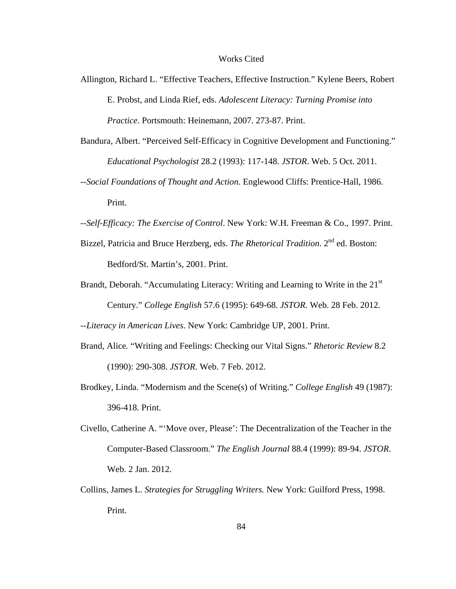#### Works Cited

- Allington, Richard L. "Effective Teachers, Effective Instruction." Kylene Beers, Robert E. Probst, and Linda Rief, eds. *Adolescent Literacy: Turning Promise into Practice*. Portsmouth: Heinemann, 2007. 273-87. Print.
- Bandura, Albert. "Perceived Self-Efficacy in Cognitive Development and Functioning." *Educational Psychologist* 28.2 (1993): 117-148. *JSTOR*. Web. 5 Oct. 2011.
- --*Social Foundations of Thought and Action*. Englewood Cliffs: Prentice-Hall, 1986. Print.
- --*Self-Efficacy: The Exercise of Control*. New York: W.H. Freeman & Co., 1997. Print.
- Bizzel, Patricia and Bruce Herzberg, eds. *The Rhetorical Tradition*. 2nd ed. Boston: Bedford/St. Martin's, 2001. Print.
- Brandt, Deborah. "Accumulating Literacy: Writing and Learning to Write in the 21<sup>st</sup> Century." *College English* 57.6 (1995): 649-68. *JSTOR*. Web. 28 Feb. 2012.

--*Literacy in American Lives*. New York: Cambridge UP, 2001. Print.

- Brand, Alice*.* "Writing and Feelings: Checking our Vital Signs." *Rhetoric Review* 8.2 (1990): 290-308. *JSTOR*. Web. 7 Feb. 2012.
- Brodkey, Linda. "Modernism and the Scene(s) of Writing." *College English* 49 (1987): 396-418. Print.
- Civello, Catherine A. "'Move over, Please': The Decentralization of the Teacher in the Computer-Based Classroom." *The English Journal* 88.4 (1999): 89-94. *JSTOR*. Web. 2 Jan. 2012.
- Collins, James L. *Strategies for Struggling Writers.* New York: Guilford Press, 1998. Print.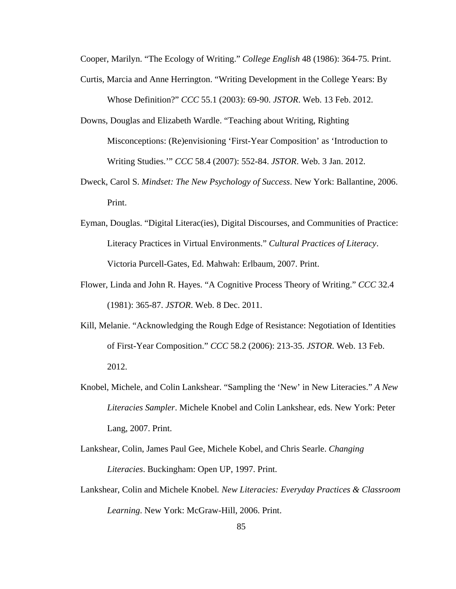Cooper, Marilyn. "The Ecology of Writing." *College English* 48 (1986): 364-75. Print.

- Curtis, Marcia and Anne Herrington. "Writing Development in the College Years: By Whose Definition?" *CCC* 55.1 (2003): 69-90. *JSTOR*. Web. 13 Feb. 2012.
- Downs, Douglas and Elizabeth Wardle. "Teaching about Writing, Righting Misconceptions: (Re)envisioning 'First-Year Composition' as 'Introduction to Writing Studies.'" *CCC* 58.4 (2007): 552-84. *JSTOR*. Web. 3 Jan. 2012.
- Dweck, Carol S. *Mindset: The New Psychology of Success*. New York: Ballantine, 2006. Print.
- Eyman, Douglas. "Digital Literac(ies), Digital Discourses, and Communities of Practice: Literacy Practices in Virtual Environments." *Cultural Practices of Literacy*. Victoria Purcell-Gates, Ed. Mahwah: Erlbaum, 2007. Print.
- Flower, Linda and John R. Hayes. "A Cognitive Process Theory of Writing." *CCC* 32.4 (1981): 365-87. *JSTOR*. Web. 8 Dec. 2011.
- Kill, Melanie. "Acknowledging the Rough Edge of Resistance: Negotiation of Identities of First-Year Composition." *CCC* 58.2 (2006): 213-35. *JSTOR*. Web. 13 Feb. 2012.
- Knobel, Michele, and Colin Lankshear. "Sampling the 'New' in New Literacies." *A New Literacies Sampler*. Michele Knobel and Colin Lankshear, eds. New York: Peter Lang, 2007. Print.
- Lankshear, Colin, James Paul Gee, Michele Kobel, and Chris Searle. *Changing Literacies*. Buckingham: Open UP, 1997. Print.
- Lankshear, Colin and Michele Knobel*. New Literacies: Everyday Practices & Classroom Learning*. New York: McGraw-Hill, 2006. Print.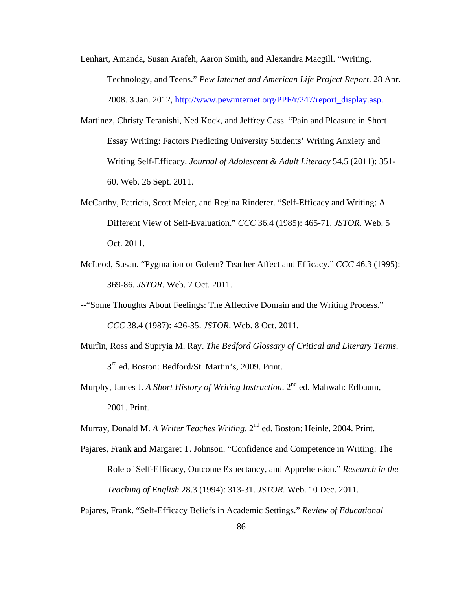- Lenhart, Amanda, Susan Arafeh, Aaron Smith, and Alexandra Macgill. "Writing, Technology, and Teens." *Pew Internet and American Life Project Report*. 28 Apr. 2008. 3 Jan. 2012, http://www.pewinternet.org/PPF/r/247/report\_display.asp.
- Martinez, Christy Teranishi, Ned Kock, and Jeffrey Cass. "Pain and Pleasure in Short Essay Writing: Factors Predicting University Students' Writing Anxiety and Writing Self-Efficacy. *Journal of Adolescent & Adult Literacy* 54.5 (2011): 351- 60. Web. 26 Sept. 2011.
- McCarthy, Patricia, Scott Meier, and Regina Rinderer. "Self-Efficacy and Writing: A Different View of Self-Evaluation." *CCC* 36.4 (1985): 465-71. *JSTOR.* Web. 5 Oct. 2011.
- McLeod, Susan. "Pygmalion or Golem? Teacher Affect and Efficacy." *CCC* 46.3 (1995): 369-86. *JSTOR*. Web. 7 Oct. 2011.
- --"Some Thoughts About Feelings: The Affective Domain and the Writing Process." *CCC* 38.4 (1987): 426-35. *JSTOR*. Web. 8 Oct. 2011.
- Murfin, Ross and Supryia M. Ray. *The Bedford Glossary of Critical and Literary Terms*. 3rd ed. Boston: Bedford/St. Martin's, 2009. Print.
- Murphy, James J. *A Short History of Writing Instruction*. 2<sup>nd</sup> ed. Mahwah: Erlbaum, 2001. Print.

Murray, Donald M. *A Writer Teaches Writing*. 2<sup>nd</sup> ed. Boston: Heinle, 2004. Print.

Pajares, Frank and Margaret T. Johnson. "Confidence and Competence in Writing: The Role of Self-Efficacy, Outcome Expectancy, and Apprehension." *Research in the Teaching of English* 28.3 (1994): 313-31. *JSTOR*. Web. 10 Dec. 2011.

Pajares, Frank. "Self-Efficacy Beliefs in Academic Settings." *Review of Educational*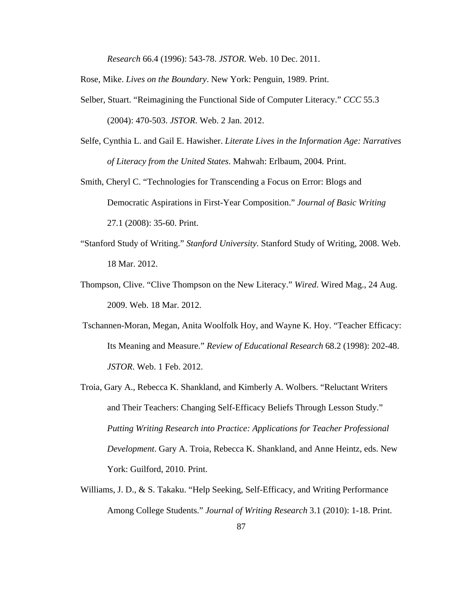*Research* 66.4 (1996): 543-78. *JSTOR*. Web. 10 Dec. 2011.

Rose, Mike. *Lives on the Boundary*. New York: Penguin, 1989. Print.

Selber, Stuart. "Reimagining the Functional Side of Computer Literacy." *CCC* 55.3

(2004): 470-503. *JSTOR*. Web. 2 Jan. 2012.

- Selfe, Cynthia L. and Gail E. Hawisher. *Literate Lives in the Information Age: Narratives of Literacy from the United States*. Mahwah: Erlbaum, 2004*.* Print.
- Smith, Cheryl C. "Technologies for Transcending a Focus on Error: Blogs and Democratic Aspirations in First-Year Composition." *Journal of Basic Writing*  27.1 (2008): 35-60. Print.
- "Stanford Study of Writing." *Stanford University*. Stanford Study of Writing, 2008. Web. 18 Mar. 2012.
- Thompson, Clive. "Clive Thompson on the New Literacy." *Wired*. Wired Mag., 24 Aug. 2009. Web. 18 Mar. 2012.
- Tschannen-Moran, Megan, Anita Woolfolk Hoy, and Wayne K. Hoy. "Teacher Efficacy: Its Meaning and Measure." *Review of Educational Research* 68.2 (1998): 202-48. *JSTOR*. Web. 1 Feb. 2012.
- Troia, Gary A., Rebecca K. Shankland, and Kimberly A. Wolbers. "Reluctant Writers and Their Teachers: Changing Self-Efficacy Beliefs Through Lesson Study." *Putting Writing Research into Practice: Applications for Teacher Professional Development*. Gary A. Troia, Rebecca K. Shankland, and Anne Heintz, eds. New York: Guilford, 2010. Print.
- Williams, J. D., & S. Takaku. "Help Seeking, Self-Efficacy, and Writing Performance Among College Students." *Journal of Writing Research* 3.1 (2010): 1-18. Print.